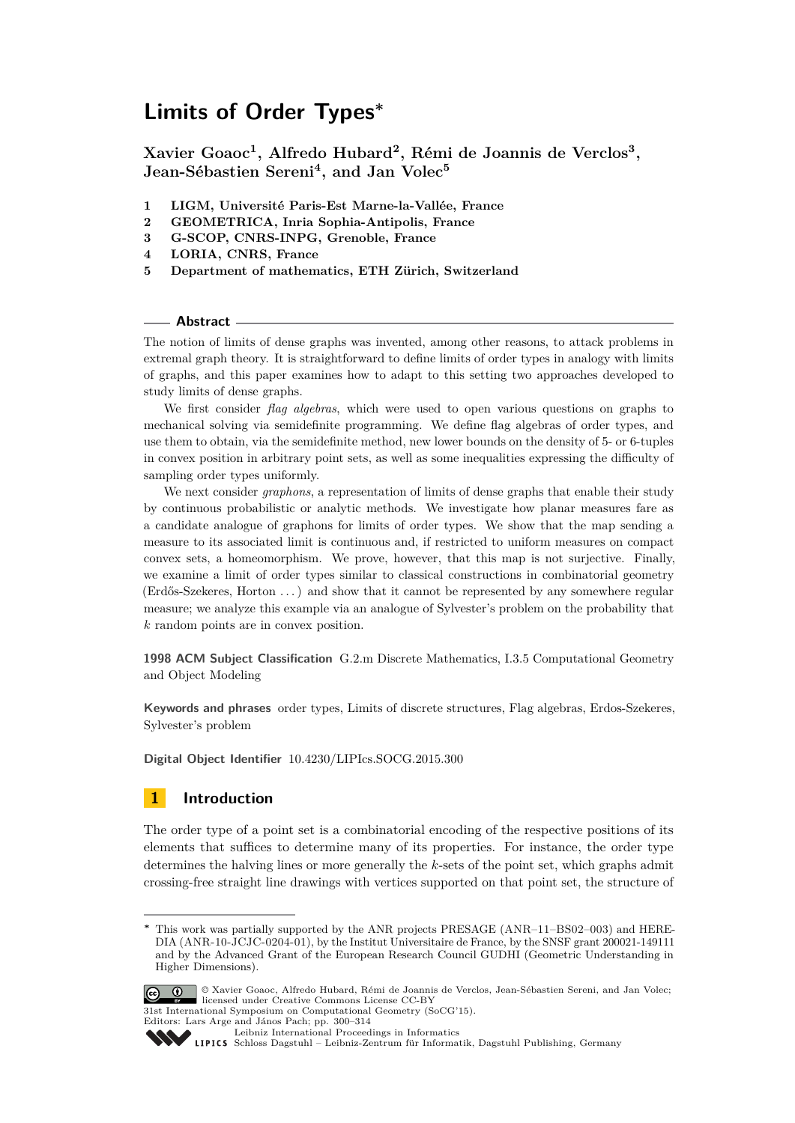**Xavier Goaoc<sup>1</sup> , Alfredo Hubard<sup>2</sup> , Rémi de Joannis de Verclos<sup>3</sup> , Jean-Sébastien Sereni<sup>4</sup> , and Jan Volec<sup>5</sup>**

- **1 LIGM, Université Paris-Est Marne-la-Vallée, France**
- **2 GEOMETRICA, Inria Sophia-Antipolis, France**
- **3 G-SCOP, CNRS-INPG, Grenoble, France**
- **4 LORIA, CNRS, France**
- **5 Department of mathematics, ETH Zürich, Switzerland**

### **Abstract**

The notion of limits of dense graphs was invented, among other reasons, to attack problems in extremal graph theory. It is straightforward to define limits of order types in analogy with limits of graphs, and this paper examines how to adapt to this setting two approaches developed to study limits of dense graphs.

We first consider *flag algebras*, which were used to open various questions on graphs to mechanical solving via semidefinite programming. We define flag algebras of order types, and use them to obtain, via the semidefinite method, new lower bounds on the density of 5- or 6-tuples in convex position in arbitrary point sets, as well as some inequalities expressing the difficulty of sampling order types uniformly.

We next consider *graphons*, a representation of limits of dense graphs that enable their study by continuous probabilistic or analytic methods. We investigate how planar measures fare as a candidate analogue of graphons for limits of order types. We show that the map sending a measure to its associated limit is continuous and, if restricted to uniform measures on compact convex sets, a homeomorphism. We prove, however, that this map is not surjective. Finally, we examine a limit of order types similar to classical constructions in combinatorial geometry (Erdős-Szekeres, Horton . . . ) and show that it cannot be represented by any somewhere regular measure; we analyze this example via an analogue of Sylvester's problem on the probability that *k* random points are in convex position.

**1998 ACM Subject Classification** G.2.m Discrete Mathematics, I.3.5 Computational Geometry and Object Modeling

**Keywords and phrases** order types, Limits of discrete structures, Flag algebras, Erdos-Szekeres, Sylvester's problem

**Digital Object Identifier** [10.4230/LIPIcs.SOCG.2015.300](http://dx.doi.org/10.4230/LIPIcs.SOCG.2015.300)

# **1 Introduction**

The order type of a point set is a combinatorial encoding of the respective positions of its elements that suffices to determine many of its properties. For instance, the order type determines the halving lines or more generally the *k*-sets of the point set, which graphs admit crossing-free straight line drawings with vertices supported on that point set, the structure of

This work was partially supported by the ANR projects PRESAGE (ANR–11–BS02–003) and HERE-DIA (ANR-10-JCJC-0204-01), by the Institut Universitaire de France, by the SNSF grant 200021-149111 and by the Advanced Grant of the European Research Council GUDHI (Geometric Understanding in Higher Dimensions).



<sup>©</sup> Xavier Goaoc, Alfredo Hubard, Rémi de Joannis de Verclos, Jean-Sébastien Sereni, and Jan Volec; licensed under Creative Commons License CC-BY 31st International Symposium on Computational Geometry (SoCG'15).

Editors: Lars Arge and János Pach; pp. 300[–314](#page-14-0)

[Leibniz International Proceedings in Informatics](http://www.dagstuhl.de/lipics/)

[Schloss Dagstuhl – Leibniz-Zentrum für Informatik, Dagstuhl Publishing, Germany](http://www.dagstuhl.de)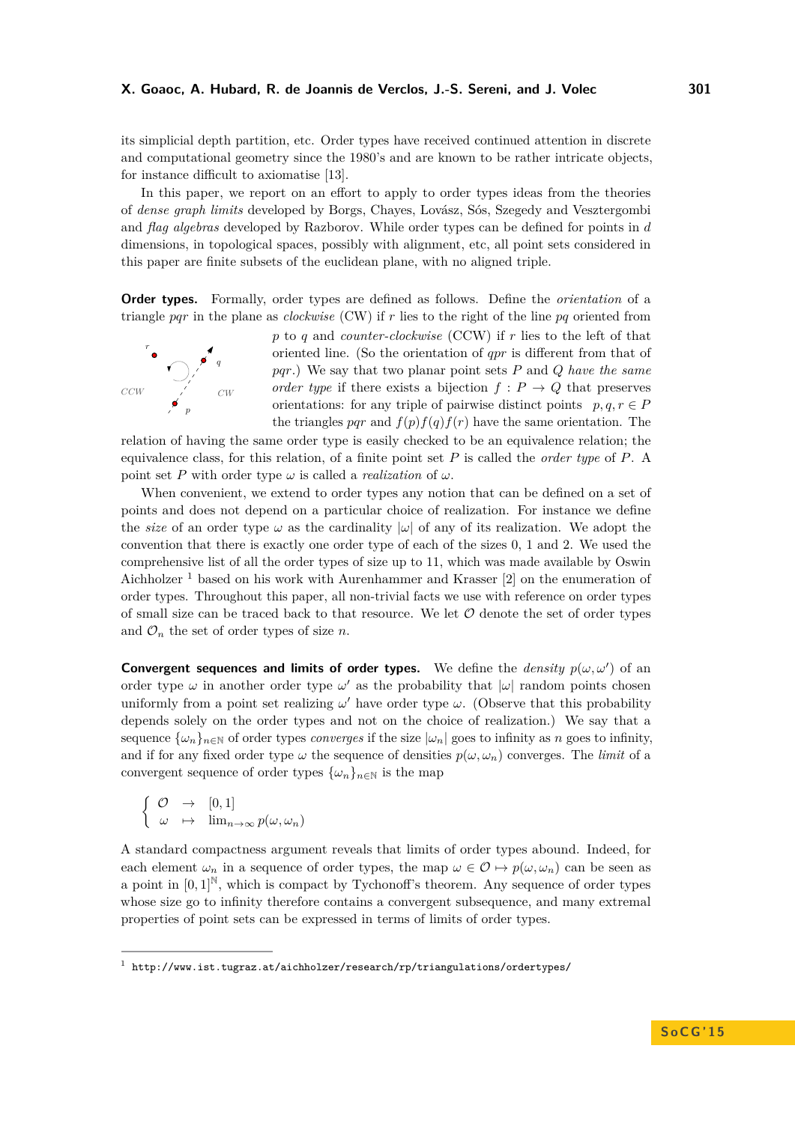its simplicial depth partition, etc. Order types have received continued attention in discrete and computational geometry since the 1980's and are known to be rather intricate objects, for instance difficult to axiomatise [\[13\]](#page-14-1).

In this paper, we report on an effort to apply to order types ideas from the theories of *dense graph limits* developed by Borgs, Chayes, Lovász, Sós, Szegedy and Vesztergombi and *flag algebras* developed by Razborov. While order types can be defined for points in *d* dimensions, in topological spaces, possibly with alignment, etc, all point sets considered in this paper are finite subsets of the euclidean plane, with no aligned triple.

**Order types.** Formally, order types are defined as follows. Define the *orientation* of a triangle *pqr* in the plane as *clockwise* (CW) if *r* lies to the right of the line *pq* oriented from



*p* to *q* and *counter-clockwise* (CCW) if *r* lies to the left of that oriented line. (So the orientation of *qpr* is different from that of *pqr*.) We say that two planar point sets *P* and *Q have the same order type* if there exists a bijection  $f : P \to Q$  that preserves orientations: for any triple of pairwise distinct points  $p, q, r \in P$ the triangles *pqr* and  $f(p)f(q)f(r)$  have the same orientation. The

relation of having the same order type is easily checked to be an equivalence relation; the equivalence class, for this relation, of a finite point set *P* is called the *order type* of *P*. A point set *P* with order type  $\omega$  is called a *realization* of  $\omega$ .

When convenient, we extend to order types any notion that can be defined on a set of points and does not depend on a particular choice of realization. For instance we define the *size* of an order type  $\omega$  as the cardinality  $|\omega|$  of any of its realization. We adopt the convention that there is exactly one order type of each of the sizes 0, 1 and 2. We used the comprehensive list of all the order types of size up to 11, which was made available by Oswin Aichholzer  $<sup>1</sup>$  $<sup>1</sup>$  $<sup>1</sup>$  based on his work with Aurenhammer and Krasser [\[2\]](#page-14-2) on the enumeration of</sup> order types. Throughout this paper, all non-trivial facts we use with reference on order types of small size can be traced back to that resource. We let  $\mathcal O$  denote the set of order types and  $\mathcal{O}_n$  the set of order types of size *n*.

**Convergent sequences and limits of order types.** We define the *density*  $p(\omega, \omega')$  of an order type  $\omega$  in another order type  $\omega'$  as the probability that  $|\omega|$  random points chosen uniformly from a point set realizing  $\omega'$  have order type  $\omega$ . (Observe that this probability depends solely on the order types and not on the choice of realization.) We say that a sequence  $\{\omega_n\}_{n\in\mathbb{N}}$  of order types *converges* if the size  $|\omega_n|$  goes to infinity as *n* goes to infinity, and if for any fixed order type  $\omega$  the sequence of densities  $p(\omega, \omega_n)$  converges. The *limit* of a convergent sequence of order types  $\{\omega_n\}_{n\in\mathbb{N}}$  is the map

$$
\left\{\n\begin{array}{ccc}\n\mathcal{O} & \to & [0,1] \\
\omega & \mapsto & \lim_{n\to\infty} p(\omega,\omega_n)\n\end{array}\n\right.
$$

A standard compactness argument reveals that limits of order types abound. Indeed, for each element  $\omega_n$  in a sequence of order types, the map  $\omega \in \mathcal{O} \mapsto p(\omega, \omega_n)$  can be seen as a point in  $[0,1]^{\mathbb{N}}$ , which is compact by Tychonoff's theorem. Any sequence of order types whose size go to infinity therefore contains a convergent subsequence, and many extremal properties of point sets can be expressed in terms of limits of order types.

<span id="page-1-0"></span> $^{\rm 1}$  <http://www.ist.tugraz.at/aichholzer/research/rp/triangulations/ordertypes/>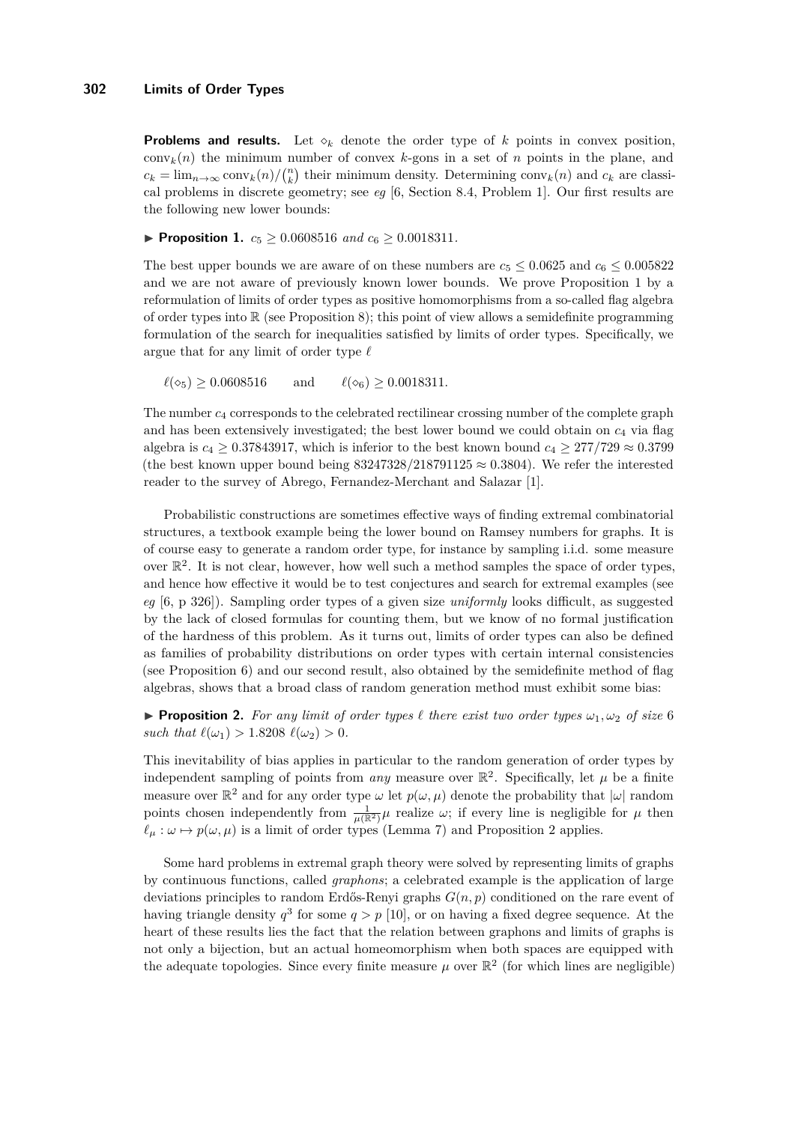**Problems and results.** Let  $\diamond_k$  denote the order type of k points in convex position, conv<sub>k</sub> $(n)$  the minimum number of convex *k*-gons in a set of *n* points in the plane, and  $c_k = \lim_{n \to \infty} \text{conv}_k(n) / \binom{n}{k}$  their minimum density. Determining  $\text{conv}_k(n)$  and  $c_k$  are classical problems in discrete geometry; see *eg* [\[6,](#page-14-3) Section 8.4, Problem 1]. Our first results are the following new lower bounds:

<span id="page-2-0"></span>▶ **Proposition 1.**  $c_5 \ge 0.0608516$  *and*  $c_6 \ge 0.0018311$ *.* 

The best upper bounds we are aware of on these numbers are  $c_5 \leq 0.0625$  and  $c_6 \leq 0.005822$ and we are not aware of previously known lower bounds. We prove Proposition [1](#page-2-0) by a reformulation of limits of order types as positive homomorphisms from a so-called flag algebra of order types into  $\mathbb R$  (see Proposition [8\)](#page-6-0); this point of view allows a semidefinite programming formulation of the search for inequalities satisfied by limits of order types. Specifically, we argue that for any limit of order type  $\ell$ 

 $\ell(\diamond_5) \geq 0.0608516$  and  $\ell(\diamond_6) \geq 0.0018311$ .

The number *c*<sup>4</sup> corresponds to the celebrated rectilinear crossing number of the complete graph and has been extensively investigated; the best lower bound we could obtain on  $c_4$  via flag algebra is  $c_4 \geq 0.37843917$ , which is inferior to the best known bound  $c_4 \geq 277/729 \approx 0.3799$ (the best known upper bound being  $83247328/218791125 \approx 0.3804$ ). We refer the interested reader to the survey of Abrego, Fernandez-Merchant and Salazar [\[1\]](#page-14-4).

Probabilistic constructions are sometimes effective ways of finding extremal combinatorial structures, a textbook example being the lower bound on Ramsey numbers for graphs. It is of course easy to generate a random order type, for instance by sampling i.i.d. some measure over  $\mathbb{R}^2$ . It is not clear, however, how well such a method samples the space of order types, and hence how effective it would be to test conjectures and search for extremal examples (see *eg* [\[6,](#page-14-3) p 326]). Sampling order types of a given size *uniformly* looks difficult, as suggested by the lack of closed formulas for counting them, but we know of no formal justification of the hardness of this problem. As it turns out, limits of order types can also be defined as families of probability distributions on order types with certain internal consistencies (see Proposition [6\)](#page-4-0) and our second result, also obtained by the semidefinite method of flag algebras, shows that a broad class of random generation method must exhibit some bias:

<span id="page-2-1"></span>**Proposition 2.** For any limit of order types  $\ell$  there exist two order types  $\omega_1, \omega_2$  of size 6 *such that*  $\ell(\omega_1) > 1.8208 \; \ell(\omega_2) > 0$ .

This inevitability of bias applies in particular to the random generation of order types by independent sampling of points from *any* measure over  $\mathbb{R}^2$ . Specifically, let  $\mu$  be a finite measure over  $\mathbb{R}^2$  and for any order type  $\omega$  let  $p(\omega, \mu)$  denote the probability that  $|\omega|$  random points chosen independently from  $\frac{1}{\mu(\mathbb{R}^2)}\mu$  realize  $\omega$ ; if every line is negligible for  $\mu$  then  $\ell_{\mu} : \omega \mapsto p(\omega, \mu)$  is a limit of order types (Lemma [7\)](#page-5-0) and Proposition [2](#page-2-1) applies.

Some hard problems in extremal graph theory were solved by representing limits of graphs by continuous functions, called *graphons*; a celebrated example is the application of large deviations principles to random Erdős-Renyi graphs *G*(*n, p*) conditioned on the rare event of having triangle density  $q^3$  for some  $q > p$  [\[10\]](#page-14-5), or on having a fixed degree sequence. At the heart of these results lies the fact that the relation between graphons and limits of graphs is not only a bijection, but an actual homeomorphism when both spaces are equipped with the adequate topologies. Since every finite measure  $\mu$  over  $\mathbb{R}^2$  (for which lines are negligible)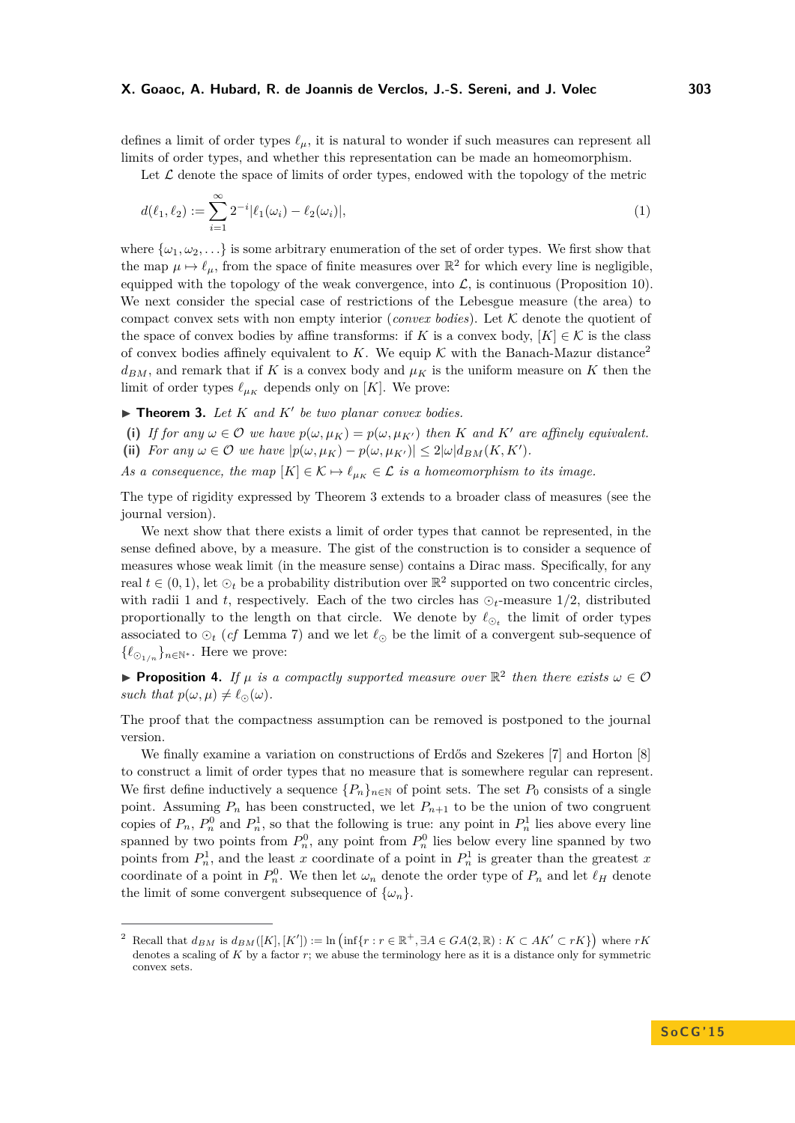defines a limit of order types  $\ell_{\mu}$ , it is natural to wonder if such measures can represent all limits of order types, and whether this representation can be made an homeomorphism.

<span id="page-3-2"></span>Let  $\mathcal L$  denote the space of limits of order types, endowed with the topology of the metric

$$
d(\ell_1, \ell_2) := \sum_{i=1}^{\infty} 2^{-i} |\ell_1(\omega_i) - \ell_2(\omega_i)|,
$$
\n(1)

where  $\{\omega_1, \omega_2, \ldots\}$  is some arbitrary enumeration of the set of order types. We first show that the map  $\mu \mapsto \ell_{\mu}$ , from the space of finite measures over  $\mathbb{R}^2$  for which every line is negligible, equipped with the topology of the weak convergence, into  $\mathcal{L}$ , is continuous (Proposition [10\)](#page-10-0). We next consider the special case of restrictions of the Lebesgue measure (the area) to compact convex sets with non empty interior (*convex bodies*). Let  $K$  denote the quotient of the space of convex bodies by affine transforms: if *K* is a convex body,  $[K] \in \mathcal{K}$  is the class of convex bodies affinely equivalent to *K*. We equip  $K$  with the Banach-Mazur distance<sup>[2](#page-3-0)</sup>  $d_{BM}$ , and remark that if *K* is a convex body and  $\mu_K$  is the uniform measure on *K* then the limit of order types  $\ell_{\mu_K}$  depends only on [*K*]. We prove:

<span id="page-3-1"></span> $\blacktriangleright$  **Theorem 3.** Let  $K$  and  $K'$  be two planar convex bodies.

- (i) If for any  $\omega \in \mathcal{O}$  we have  $p(\omega, \mu_K) = p(\omega, \mu_{K'})$  then K and K' are affinely equivalent.
- (ii) *For any*  $\omega \in \mathcal{O}$  *we have*  $|p(\omega, \mu_K) p(\omega, \mu_{K'})| \leq 2|\omega| d_{BM}(K, K').$
- *As a consequence, the map*  $[K] \in \mathcal{K} \mapsto \ell_{\mu_K} \in \mathcal{L}$  *is a homeomorphism to its image.*

The type of rigidity expressed by Theorem [3](#page-3-1) extends to a broader class of measures (see the journal version).

We next show that there exists a limit of order types that cannot be represented, in the sense defined above, by a measure. The gist of the construction is to consider a sequence of measures whose weak limit (in the measure sense) contains a Dirac mass. Specifically, for any real  $t \in (0, 1)$ , let  $\odot_t$  be a probability distribution over  $\mathbb{R}^2$  supported on two concentric circles, with radii 1 and *t*, respectively. Each of the two circles has  $\odot_t$ -measure 1/2, distributed proportionally to the length on that circle. We denote by  $\ell_{\mathcal{O}_t}$  the limit of order types associated to  $\odot_t$  (*cf* Lemma [7\)](#page-5-0) and we let  $\ell_{\odot}$  be the limit of a convergent sub-sequence of { $\ell_{\odot_1/n}$ }<sub>*n*∈N<sup>∗</sup></sub>. Here we prove:

<span id="page-3-3"></span>**Proposition 4.** If  $\mu$  is a compactly supported measure over  $\mathbb{R}^2$  then there exists  $\omega \in \mathcal{O}$ *such that*  $p(\omega, \mu) \neq \ell_{\odot}(\omega)$ .

The proof that the compactness assumption can be removed is postponed to the journal version.

We finally examine a variation on constructions of Erdős and Szekeres [\[7\]](#page-14-6) and Horton [\[8\]](#page-14-7) to construct a limit of order types that no measure that is somewhere regular can represent. We first define inductively a sequence  $\{P_n\}_{n\in\mathbb{N}}$  of point sets. The set  $P_0$  consists of a single point. Assuming  $P_n$  has been constructed, we let  $P_{n+1}$  to be the union of two congruent copies of  $P_n$ ,  $P_n^0$  and  $P_n^1$ , so that the following is true: any point in  $P_n^1$  lies above every line spanned by two points from  $P_n^0$ , any point from  $P_n^0$  lies below every line spanned by two points from  $P_n^1$ , and the least *x* coordinate of a point in  $P_n^1$  is greater than the greatest *x* coordinate of a point in  $P_n^0$ . We then let  $\omega_n$  denote the order type of  $P_n$  and let  $\ell_H$  denote the limit of some convergent subsequence of  $\{\omega_n\}.$ 

<span id="page-3-0"></span><sup>2</sup> Recall that  $d_{BM}$  is  $d_{BM}([K],[K']) := \ln \left( \inf \{r : r \in \mathbb{R}^+, \exists A \in GA(2,\mathbb{R}) : K \subset AK' \subset rK \} \right)$  where  $rK$ denotes a scaling of *K* by a factor *r*; we abuse the terminology here as it is a distance only for symmetric convex sets.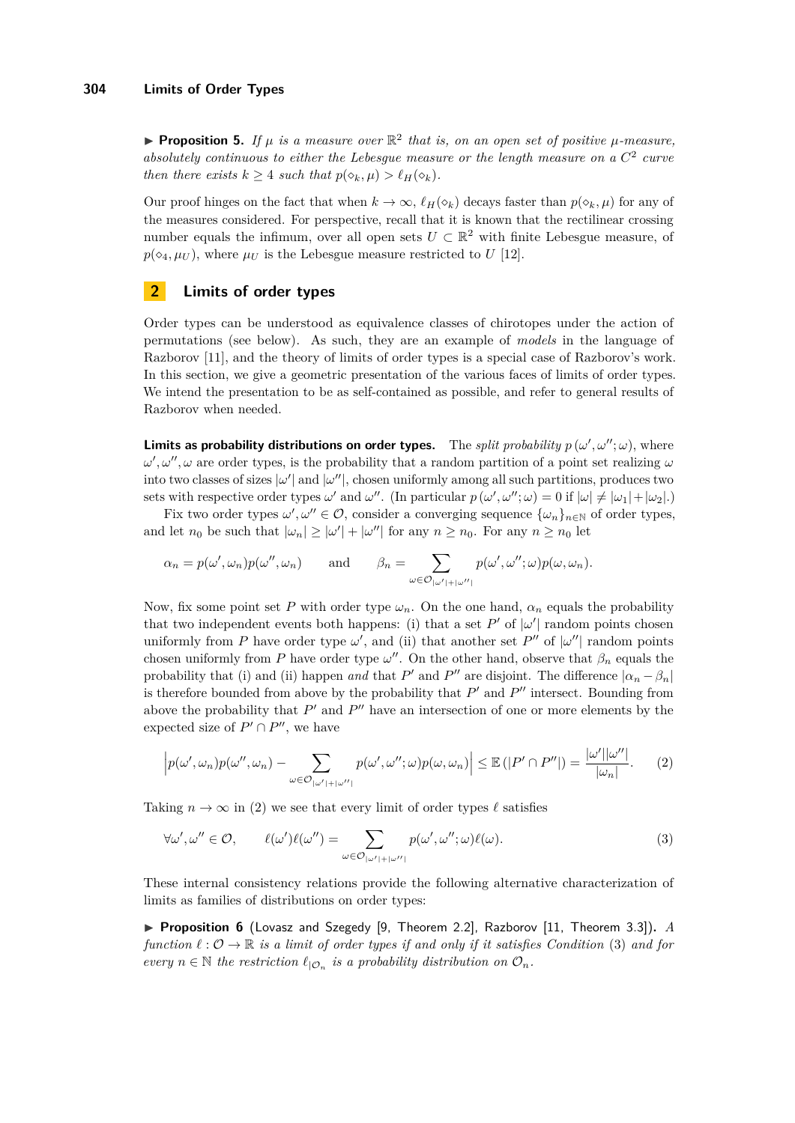<span id="page-4-3"></span>**• Proposition 5.** If  $\mu$  is a measure over  $\mathbb{R}^2$  that is, on an open set of positive  $\mu$ -measure, absolutely continuous to either the Lebesgue measure or the length measure on a  $C^2$  curve *then there exists*  $k > 4$  *such that*  $p(\diamond_k, \mu) > \ell_H(\diamond_k)$ .

Our proof hinges on the fact that when  $k \to \infty$ ,  $\ell_H(\diamond_k)$  decays faster than  $p(\diamond_k, \mu)$  for any of the measures considered. For perspective, recall that it is known that the rectilinear crossing number equals the infimum, over all open sets  $U \subset \mathbb{R}^2$  with finite Lebesgue measure, of  $p(\diamond_4, \mu_U)$ , where  $\mu_U$  is the Lebesgue measure restricted to *U* [\[12\]](#page-14-8).

# **2 Limits of order types**

Order types can be understood as equivalence classes of chirotopes under the action of permutations (see below). As such, they are an example of *models* in the language of Razborov [\[11\]](#page-14-9), and the theory of limits of order types is a special case of Razborov's work. In this section, we give a geometric presentation of the various faces of limits of order types. We intend the presentation to be as self-contained as possible, and refer to general results of Razborov when needed.

**Limits as probability distributions on order types.** The *split probability*  $p(\omega', \omega''; \omega)$ , where  $\omega', \omega'', \omega$  are order types, is the probability that a random partition of a point set realizing  $\omega$ into two classes of sizes  $|\omega'|$  and  $|\omega''|$ , chosen uniformly among all such partitions, produces two sets with respective order types  $\omega'$  and  $\omega''$ . (In particular  $p(\omega', \omega''; \omega) = 0$  if  $|\omega| \neq |\omega_1| + |\omega_2|$ .)

Fix two order types  $\omega', \omega'' \in \mathcal{O}$ , consider a converging sequence  $\{\omega_n\}_{n \in \mathbb{N}}$  of order types, and let  $n_0$  be such that  $|\omega_n| \geq |\omega'| + |\omega''|$  for any  $n \geq n_0$ . For any  $n \geq n_0$  let

$$
\alpha_n = p(\omega', \omega_n) p(\omega'', \omega_n) \quad \text{and} \quad \beta_n = \sum_{\omega \in \mathcal{O}_{|\omega'| + |\omega''|}} p(\omega', \omega''; \omega) p(\omega, \omega_n).
$$

Now, fix some point set *P* with order type  $\omega_n$ . On the one hand,  $\alpha_n$  equals the probability that two independent events both happens: (i) that a set  $P'$  of  $|\omega'|$  random points chosen uniformly from *P* have order type  $\omega'$ , and (ii) that another set *P*<sup>*n*</sup> of  $|\omega''|$  random points chosen uniformly from *P* have order type  $\omega''$ . On the other hand, observe that  $\beta_n$  equals the probability that (i) and (ii) happen *and* that  $P'$  and  $P''$  are disjoint. The difference  $|\alpha_n - \beta_n|$ is therefore bounded from above by the probability that  $P'$  and  $P''$  intersect. Bounding from above the probability that  $P'$  and  $P''$  have an intersection of one or more elements by the expected size of  $P' \cap P''$ , we have

<span id="page-4-1"></span>
$$
\left| p(\omega', \omega_n) p(\omega'', \omega_n) - \sum_{\omega \in \mathcal{O}_{|\omega'| + |\omega''|}} p(\omega', \omega''; \omega) p(\omega, \omega_n) \right| \leq \mathbb{E} \left( |P' \cap P''| \right) = \frac{|\omega'||\omega''|}{|\omega_n|}. \tag{2}
$$

Taking  $n \to \infty$  in [\(2\)](#page-4-1) we see that every limit of order types  $\ell$  satisfies

<span id="page-4-2"></span>
$$
\forall \omega', \omega'' \in \mathcal{O}, \qquad \ell(\omega')\ell(\omega'') = \sum_{\omega \in \mathcal{O}_{|\omega'| + |\omega''|}} p(\omega', \omega''; \omega)\ell(\omega). \tag{3}
$$

These internal consistency relations provide the following alternative characterization of limits as families of distributions on order types:

<span id="page-4-0"></span>▶ **Proposition 6** (Lovasz and Szegedy [\[9,](#page-14-10) Theorem 2.2], Razborov [\[11,](#page-14-9) Theorem 3.3]). *A function*  $\ell : \mathcal{O} \to \mathbb{R}$  *is a limit of order types if and only if it satisfies Condition* [\(3\)](#page-4-2) *and for every*  $n \in \mathbb{N}$  *the restriction*  $\ell_{\mathcal{O}_n}$  *is a probability distribution on*  $\mathcal{O}_n$ *.*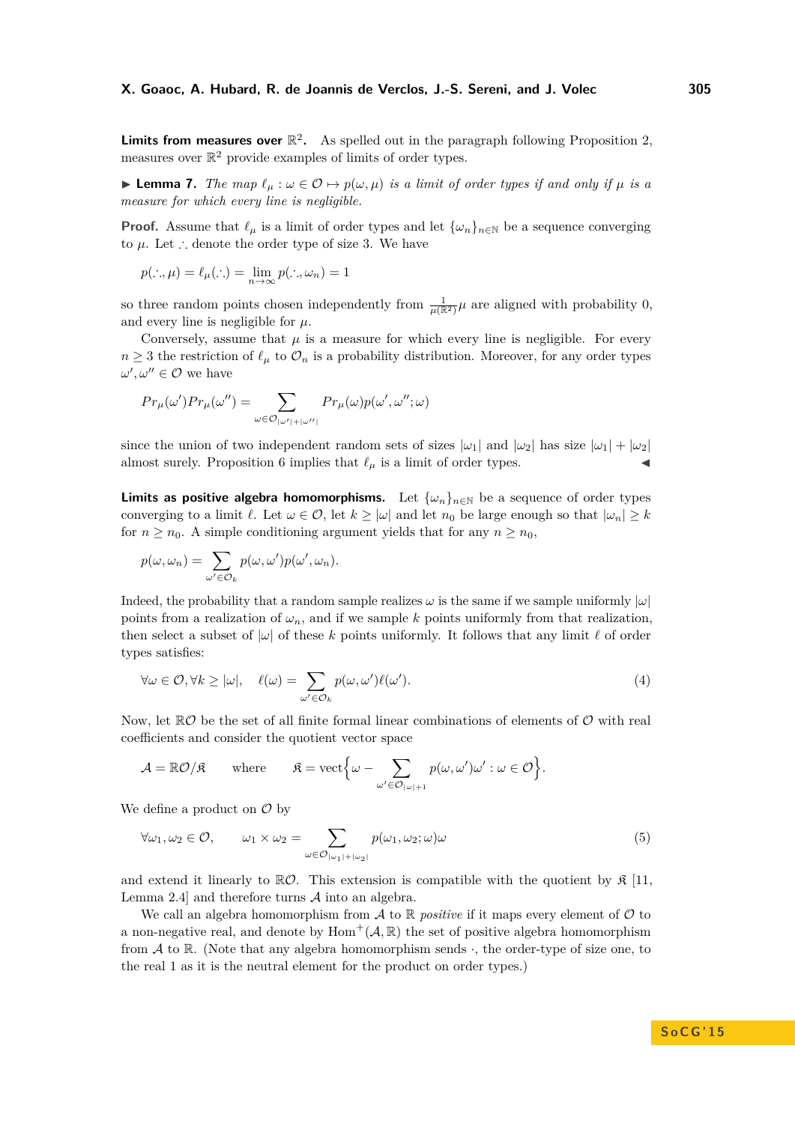**Limits from measures over**  $\mathbb{R}^2$ . As spelled out in the paragraph following Proposition [2,](#page-2-1) measures over  $\mathbb{R}^2$  provide examples of limits of order types.

<span id="page-5-0"></span>**► Lemma 7.** *The map*  $\ell_{\mu}$  :  $\omega \in \mathcal{O} \mapsto p(\omega, \mu)$  *is a limit of order types if and only if*  $\mu$  *is a measure for which every line is negligible.*

**Proof.** Assume that  $\ell_{\mu}$  is a limit of order types and let  $\{\omega_n\}_{n\in\mathbb{N}}$  be a sequence converging to  $\mu$ . Let ∴ denote the order type of size 3. We have

$$
p(\cdot, \mu) = \ell_{\mu}(\cdot) = \lim_{n \to \infty} p(\cdot, \mu_n) = 1
$$

so three random points chosen independently from  $\frac{1}{\mu(\mathbb{R}^2)}\mu$  are aligned with probability 0, and every line is negligible for  $\mu$ .

Conversely, assume that  $\mu$  is a measure for which every line is negligible. For every  $n \geq 3$  the restriction of  $\ell_{\mu}$  to  $\mathcal{O}_n$  is a probability distribution. Moreover, for any order types  $\omega', \omega'' \in \mathcal{O}$  we have

$$
Pr_{\mu}(\omega')Pr_{\mu}(\omega'') = \sum_{\omega \in \mathcal{O}_{|\omega'|+|\omega''|}} Pr_{\mu}(\omega)p(\omega',\omega'';\omega)
$$

since the union of two independent random sets of sizes  $|\omega_1|$  and  $|\omega_2|$  has size  $|\omega_1| + |\omega_2|$ almost surely. Proposition [6](#page-4-0) implies that  $\ell_{\mu}$  is a limit of order types.

**Limits as positive algebra homomorphisms.** Let  $\{\omega_n\}_{n\in\mathbb{N}}$  be a sequence of order types converging to a limit  $\ell$ . Let  $\omega \in \mathcal{O}$ , let  $k \geq |\omega|$  and let  $n_0$  be large enough so that  $|\omega_n| \geq k$ for  $n \geq n_0$ . A simple conditioning argument yields that for any  $n \geq n_0$ ,

$$
p(\omega, \omega_n) = \sum_{\omega' \in \mathcal{O}_k} p(\omega, \omega') p(\omega', \omega_n).
$$

Indeed, the probability that a random sample realizes  $\omega$  is the same if we sample uniformly  $|\omega|$ points from a realization of  $\omega_n$ , and if we sample k points uniformly from that realization, then select a subset of  $|\omega|$  of these k points uniformly. It follows that any limit  $\ell$  of order types satisfies:

<span id="page-5-1"></span>
$$
\forall \omega \in \mathcal{O}, \forall k \ge |\omega|, \quad \ell(\omega) = \sum_{\omega' \in \mathcal{O}_k} p(\omega, \omega') \ell(\omega'). \tag{4}
$$

Now, let  $\mathbb{R}^{\mathcal{O}}$  be the set of all finite formal linear combinations of elements of  $\mathcal{O}$  with real coefficients and consider the quotient vector space

$$
\mathcal{A} = \mathbb{R}\mathcal{O}/\mathfrak{K} \quad \text{where} \quad \mathfrak{K} = \text{vect}\Big\{\omega - \sum_{\omega' \in \mathcal{O}_{|\omega|+1}} p(\omega, \omega')\omega' : \omega \in \mathcal{O}\Big\}.
$$

We define a product on  $\mathcal O$  by

$$
\forall \omega_1, \omega_2 \in \mathcal{O}, \qquad \omega_1 \times \omega_2 = \sum_{\omega \in \mathcal{O}_{|\omega_1| + |\omega_2|}} p(\omega_1, \omega_2; \omega) \omega \tag{5}
$$

and extend it linearly to  $\mathbb{R}O$ . This extension is compatible with the quotient by  $\mathfrak{K}$  [\[11,](#page-14-9) Lemma 2.4] and therefore turns  $A$  into an algebra.

We call an algebra homomorphism from  $\mathcal A$  to  $\mathbb R$  *positive* if it maps every element of  $\mathcal O$  to a non-negative real, and denote by  $Hom^+(\mathcal{A}, \mathbb{R})$  the set of positive algebra homomorphism from  $A$  to  $\mathbb R$ . (Note that any algebra homomorphism sends  $\cdot$ , the order-type of size one, to the real 1 as it is the neutral element for the product on order types.)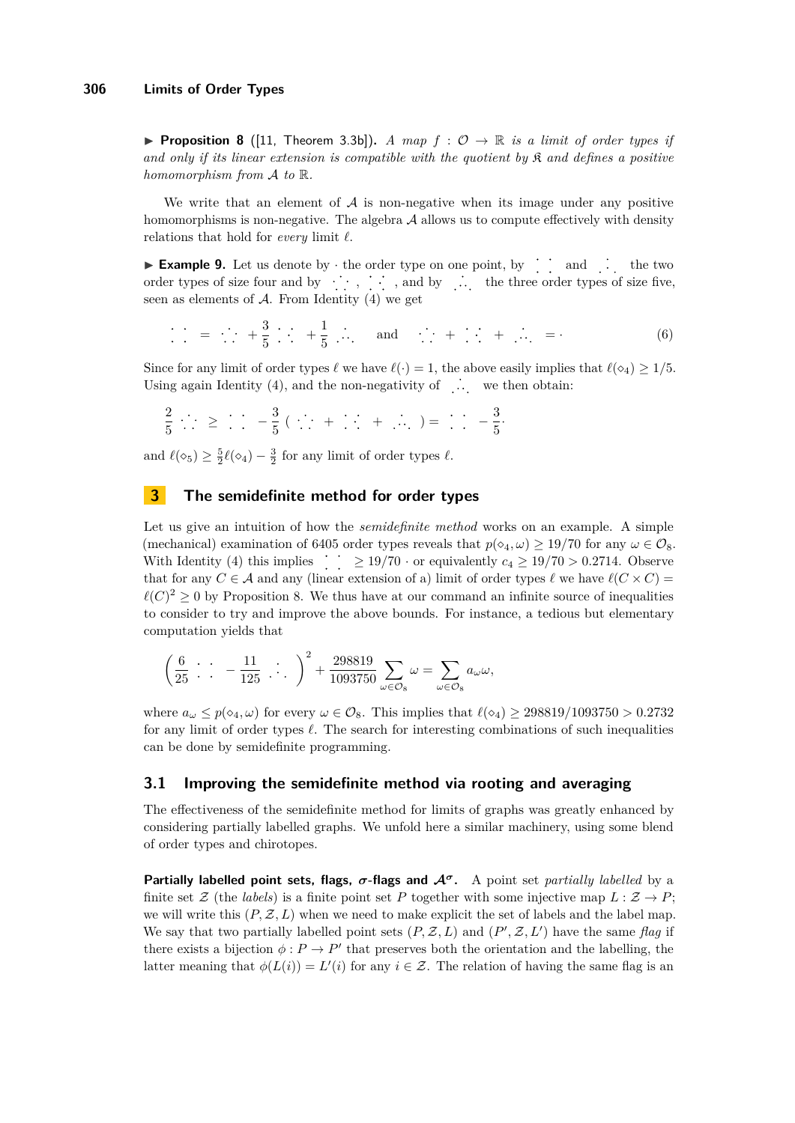<span id="page-6-0"></span>**Proposition 8** ([\[11,](#page-14-9) Theorem 3.3b]). *A map*  $f: \mathcal{O} \to \mathbb{R}$  *is a limit of order types if and only if its linear extension is compatible with the quotient by* K *and defines a positive homomorphism from* A *to* R*.*

We write that an element of  $A$  is non-negative when its image under any positive homomorphisms is non-negative. The algebra  $A$  allows us to compute effectively with density relations that hold for *every* limit  $\ell$ .

**Example 9.** Let us denote by  $\cdot$  the order type on one point, by  $\therefore$  and  $\therefore$  the two order types of size four and by  $\cdot \cdot \cdot$ , , , and by  $\cdot \cdot$  , the three order types of size five, seen as elements of  $A$ . From Identity  $(4)$  we get

$$
\vdots \quad = \quad \vdots \quad + \frac{3}{5} \quad \vdots \quad + \frac{1}{5} \quad \vdots \quad \text{and} \quad \vdots \quad + \quad \vdots \quad + \quad \vdots \quad = \quad \text{(6)}
$$

Since for any limit of order types  $\ell$  we have  $\ell(\cdot) = 1$ , the above easily implies that  $\ell(\infty_4) \geq 1/5$ . Using again Identity  $(4)$ , and the non-negativity of  $\therefore$  we then obtain:

$$
\frac{2}{5} \therefore \geq \therefore -\frac{3}{5} (\therefore + \therefore + \therefore) = \therefore -\frac{3}{5}.
$$

and  $\ell(\infty_5) \geq \frac{5}{2}\ell(\infty_4) - \frac{3}{2}$  for any limit of order types  $\ell$ .

# **3 The semidefinite method for order types**

Let us give an intuition of how the *semidefinite method* works on an example. A simple (mechanical) examination of 6405 order types reveals that  $p(\diamond_4, \omega) \geq 19/70$  for any  $\omega \in \mathcal{O}_8$ . With Identity [\(4\)](#page-5-1) this implies  $\therefore$   $\geq 19/70$  · or equivalently  $c_4 \geq 19/70 > 0.2714$ . Observe that for any  $C \in \mathcal{A}$  and any (linear extension of a) limit of order types  $\ell$  we have  $\ell(C \times C)$  $\ell(C)^2 \geq 0$  by Proposition [8.](#page-6-0) We thus have at our command an infinite source of inequalities to consider to try and improve the above bounds. For instance, a tedious but elementary computation yields that

$$
\left(\frac{6}{25} \cdot \cdot \cdot - \frac{11}{125} \cdot \cdot \cdot \right)^2 + \frac{298819}{1093750} \sum_{\omega \in \mathcal{O}_8} \omega = \sum_{\omega \in \mathcal{O}_8} a_{\omega} \omega,
$$

where  $a_\omega \leq p(\diamond_4, \omega)$  for every  $\omega \in \mathcal{O}_8$ . This implies that  $\ell(\diamond_4) \geq 298819/1093750 > 0.2732$ for any limit of order types  $\ell$ . The search for interesting combinations of such inequalities can be done by semidefinite programming.

## **3.1 Improving the semidefinite method via rooting and averaging**

The effectiveness of the semidefinite method for limits of graphs was greatly enhanced by considering partially labelled graphs. We unfold here a similar machinery, using some blend of order types and chirotopes.

**Partially labelled point sets, flags,** *σ***-flags and A***<sup>σ</sup>***.** A point set *partially labelled* by a finite set Z (the *labels*) is a finite point set P together with some injective map  $L : \mathcal{Z} \to P$ ; we will write this  $(P, Z, L)$  when we need to make explicit the set of labels and the label map. We say that two partially labelled point sets  $(P, \mathcal{Z}, L)$  and  $(P', \mathcal{Z}, L')$  have the same *flag* if there exists a bijection  $\phi : P \to P'$  that preserves both the orientation and the labelling, the latter meaning that  $\phi(L(i)) = L'(i)$  for any  $i \in \mathcal{Z}$ . The relation of having the same flag is an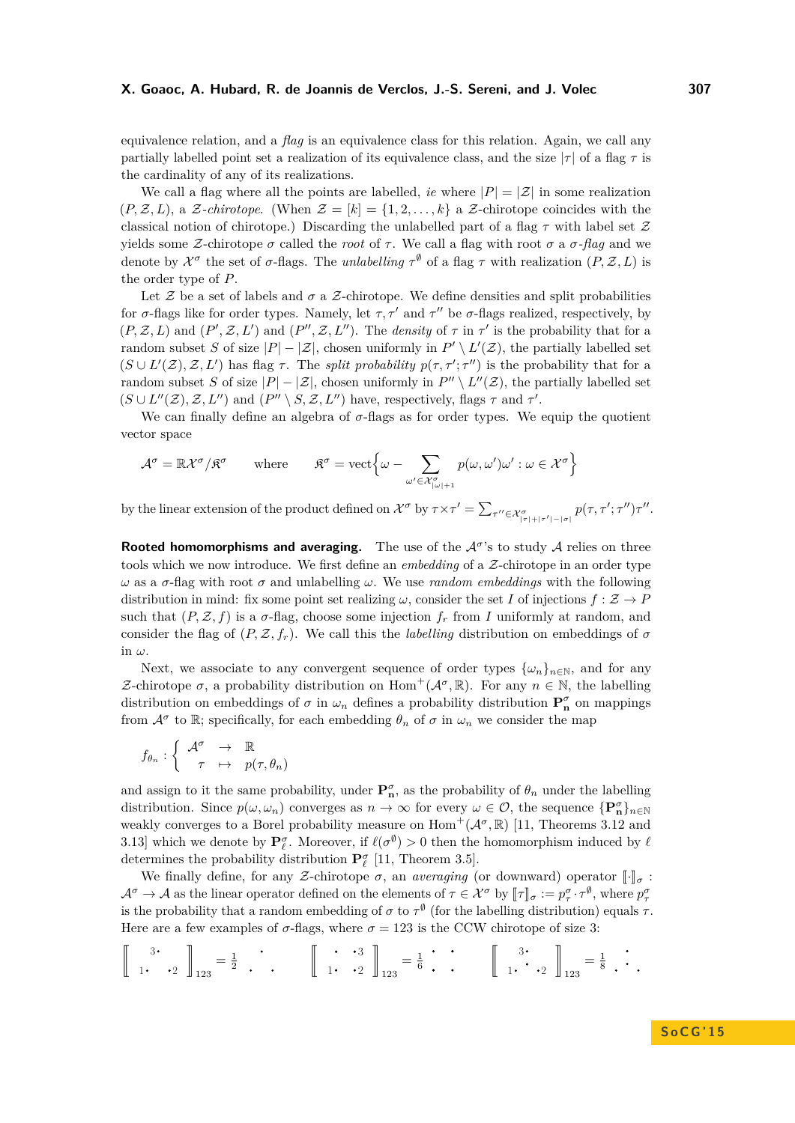equivalence relation, and a *flag* is an equivalence class for this relation. Again, we call any partially labelled point set a realization of its equivalence class, and the size  $|\tau|$  of a flag  $\tau$  is the cardinality of any of its realizations.

We call a flag where all the points are labelled, *ie* where  $|P| = |\mathcal{Z}|$  in some realization  $(P, \mathcal{Z}, L)$ , a  $\mathcal{Z}$ -*chirotope*. (When  $\mathcal{Z} = [k] = \{1, 2, ..., k\}$  a  $\mathcal{Z}$ -chirotope coincides with the classical notion of chirotope.) Discarding the unlabelled part of a flag *τ* with label set Z yields some *Z*-chirotope *σ* called the *root* of *τ*. We call a flag with root *σ* a *σ*-flag and we denote by  $\mathcal{X}^{\sigma}$  the set of  $\sigma$ -flags. The *unlabelling*  $\tau^{\emptyset}$  of a flag  $\tau$  with realization  $(P, \mathcal{Z}, L)$  is the order type of *P*.

Let  $\mathcal Z$  be a set of labels and  $\sigma$  a  $\mathcal Z$ -chirotope. We define densities and split probabilities for  $\sigma$ -flags like for order types. Namely, let  $\tau$ ,  $\tau'$  and  $\tau''$  be  $\sigma$ -flags realized, respectively, by  $(P, \mathcal{Z}, L)$  and  $(P', \mathcal{Z}, L')$  and  $(P'', \mathcal{Z}, L'')$ . The *density* of  $\tau$  in  $\tau'$  is the probability that for a random subset *S* of size  $|P| - |\mathcal{Z}|$ , chosen uniformly in  $P' \setminus L'(\mathcal{Z})$ , the partially labelled set  $(S \cup L'(\mathcal{Z}), \mathcal{Z}, L')$  has flag  $\tau$ . The *split probability*  $p(\tau, \tau'; \tau'')$  is the probability that for a random subset *S* of size  $|P| - |\mathcal{Z}|$ , chosen uniformly in  $P'' \setminus L''(\mathcal{Z})$ , the partially labelled set  $(S \cup L''(\mathcal{Z}), \mathcal{Z}, L'')$  and  $(P'' \setminus S, \mathcal{Z}, L'')$  have, respectively, flags  $\tau$  and  $\tau'$ .

We can finally define an algebra of *σ*-flags as for order types. We equip the quotient vector space

$$
\mathcal{A}^{\sigma} = \mathbb{R}\mathcal{X}^{\sigma}/\mathfrak{K}^{\sigma} \qquad \text{where} \qquad \mathfrak{K}^{\sigma} = \text{vect}\Big\{\omega - \sum_{\omega' \in \mathcal{X}^{\sigma}_{|\omega|+1}} p(\omega, \omega')\omega' : \omega \in \mathcal{X}^{\sigma}\Big\}
$$

by the linear extension of the product defined on  $\mathcal{X}^{\sigma}$  by  $\tau \times \tau' = \sum_{\tau'' \in \mathcal{X}^{\sigma}_{|\tau|+|\tau'|-|\sigma|}} p(\tau, \tau'; \tau'') \tau''$ .

**Rooted homomorphisms and averaging.** The use of the  $A^{\sigma}$ 's to study A relies on three tools which we now introduce. We first define an *embedding* of a Z-chirotope in an order type *ω* as a *σ*-flag with root *σ* and unlabelling *ω*. We use *random embeddings* with the following distribution in mind: fix some point set realizing  $\omega$ , consider the set *I* of injections  $f : \mathcal{Z} \to P$ such that  $(P, \mathcal{Z}, f)$  is a  $\sigma$ -flag, choose some injection  $f_r$  from *I* uniformly at random, and consider the flag of  $(P, \mathcal{Z}, f_r)$ . We call this the *labelling* distribution on embeddings of  $\sigma$ in *ω*.

Next, we associate to any convergent sequence of order types  $\{\omega_n\}_{n\in\mathbb{N}}$ , and for any *Z*-chirotope *σ*, a probability distribution on  $Hom^+(A^σ, ℝ)$ . For any *n* ∈ ℕ, the labelling distribution on embeddings of  $\sigma$  in  $\omega_n$  defines a probability distribution  $P_n^{\sigma}$  on mappings from  $\mathcal{A}^{\sigma}$  to R; specifically, for each embedding  $\theta_n$  of  $\sigma$  in  $\omega_n$  we consider the map

$$
f_{\theta_n}: \left\{ \begin{array}{ccc} \mathcal{A}^{\sigma} & \to & \mathbb{R} \\ \tau & \mapsto & p(\tau, \theta_n) \end{array} \right.
$$

and assign to it the same probability, under  $\mathbf{P}_n^{\sigma}$ , as the probability of  $\theta_n$  under the labelling distribution. Since  $p(\omega, \omega_n)$  converges as  $n \to \infty$  for every  $\omega \in \mathcal{O}$ , the sequence  $\{P_n^{\sigma}\}_{n \in \mathbb{N}}$ weakly converges to a Borel probability measure on  $\text{Hom}^+(\mathcal{A}^\sigma,\mathbb{R})$  [\[11,](#page-14-9) Theorems 3.12 and 3.13] which we denote by  $P_\ell^{\sigma}$ . Moreover, if  $\ell(\sigma^{\emptyset}) > 0$  then the homomorphism induced by  $\ell$ determines the probability distribution  $\mathbf{P}_{\ell}^{\sigma}$  [\[11,](#page-14-9) Theorem 3.5].

We finally define, for any *Z*-chirotope  $\sigma$ , an *averaging* (or downward) operator  $\llbracket \cdot \rrbracket_{\sigma}$ :  $\mathcal{A}^{\sigma} \to \mathcal{A}$  as the linear operator defined on the elements of  $\tau \in \mathcal{X}^{\sigma}$  by  $[\![\tau]\!]_{\sigma} := p_{\tau}^{\sigma} \cdot \tau^{\emptyset}$ , where  $p_{\tau}^{\sigma}$ is the probability that a random embedding of  $\sigma$  to  $\tau^{\emptyset}$  (for the labelling distribution) equals  $\tau$ . Here are a few examples of  $\sigma$ -flags, where  $\sigma = 123$  is the CCW chirotope of size 3:

$$
\left[\begin{array}{cc}3\\1\end{array}\right]_{123}=\frac{1}{2}\begin{array}{c}\cdot\\1\end{array}\right]_{123}=\frac{1}{6}\begin{array}{c}\cdot\\1\end{array}\left[\begin{array}{cc}3\\1\end{array}\right]_{123}=\frac{1}{6}\begin{array}{c}\cdot\\1\end{array}\right]_{123}=\frac{1}{8}\begin{array}{c}\cdot\\1\end{array}\left[\begin{array}{c}3\\1\end{array}\right]_{123}=\frac{1}{8}\begin{array}{c}\cdot\\1\end{array}\right]
$$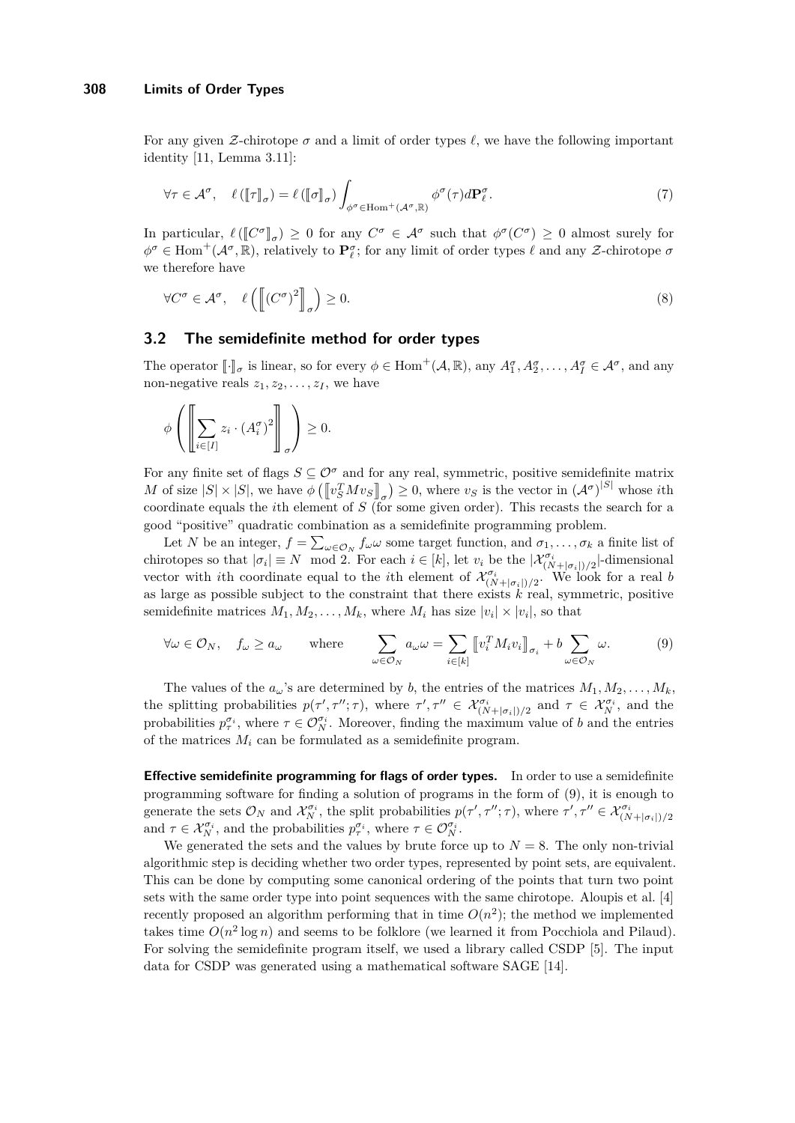For any given Z-chirotope  $\sigma$  and a limit of order types  $\ell$ , we have the following important identity [\[11,](#page-14-9) Lemma 3.11]:

$$
\forall \tau \in \mathcal{A}^{\sigma}, \quad \ell([\![\tau]\!]_{\sigma}) = \ell([\![\sigma]\!]_{\sigma}) \int_{\phi^{\sigma} \in \text{Hom}^+(\mathcal{A}^{\sigma}, \mathbb{R})} \phi^{\sigma}(\tau) d\mathbf{P}_{\ell}^{\sigma}.
$$
 (7)

In particular,  $\ell([\mathbb{C}^{\sigma}]]_{\sigma}) \geq 0$  for any  $C^{\sigma} \in \mathcal{A}^{\sigma}$  such that  $\phi^{\sigma}(C^{\sigma}) \geq 0$  almost surely for  $\phi^{\sigma}$  ∈ Hom<sup>+</sup>( $\mathcal{A}^{\sigma}$ , ℝ), relatively to **P**<sup>*σ*</sup><sub>*ε*</sub>; for any limit of order types  $\ell$  and any *Z*-chirotope *σ* we therefore have

$$
\forall C^{\sigma} \in \mathcal{A}^{\sigma}, \quad \ell \left( \left[ (C^{\sigma})^2 \right]_{\sigma} \right) \ge 0. \tag{8}
$$

## **3.2 The semidefinite method for order types**

The operator  $[\![\cdot]\!]_{\sigma}$  is linear, so for every  $\phi \in \text{Hom}^+(\mathcal{A}, \mathbb{R})$ , any  $A_1^{\sigma}, A_2^{\sigma}, \ldots, A_I^{\sigma} \in \mathcal{A}^{\sigma}$ , and any non-negative reals  $z_1, z_2, \ldots, z_I$ , we have

$$
\phi\left(\left[\sum_{i\in[I]} z_i\cdot (A_i^{\sigma})^2\right]_{\sigma}\right) \geq 0.
$$

For any finite set of flags  $S \subseteq \mathcal{O}^{\sigma}$  and for any real, symmetric, positive semidefinite matrix *M* of size  $|S| \times |S|$ , we have  $\phi\left(\left[\![v_S^T M v_S]\!]_\sigma\right) \geq 0$ , where  $v_S$  is the vector in  $({{\cal A}}^\sigma)^{|S|}$  whose *i*th coordinate equals the *i*th element of *S* (for some given order). This recasts the search for a good "positive" quadratic combination as a semidefinite programming problem.

Let *N* be an integer,  $f = \sum_{\omega \in \mathcal{O}_N} f_{\omega} \omega$  some target function, and  $\sigma_1, \ldots, \sigma_k$  a finite list of chirotopes so that  $|\sigma_i| \equiv N \mod 2$ . For each  $i \in [k]$ , let  $v_i$  be the  $|\mathcal{X}_{(N+|\sigma_i|)/2}^{\sigma_i}|$ -dimensional vector with *i*th coordinate equal to the *i*th element of  $\mathcal{X}_{(N+|\sigma_i|)/2}^{\sigma_i}$ . We look for a real *b* as large as possible subject to the constraint that there exists *k* real, symmetric, positive semidefinite matrices  $M_1, M_2, \ldots, M_k$ , where  $M_i$  has size  $|v_i| \times |v_i|$ , so that

<span id="page-8-0"></span>
$$
\forall \omega \in \mathcal{O}_N, \quad f_{\omega} \ge a_{\omega} \qquad \text{where} \qquad \sum_{\omega \in \mathcal{O}_N} a_{\omega} \omega = \sum_{i \in [k]} \left[ v_i^T M_i v_i \right]_{\sigma_i} + b \sum_{\omega \in \mathcal{O}_N} \omega. \tag{9}
$$

The values of the  $a_\omega$ 's are determined by *b*, the entries of the matrices  $M_1, M_2, \ldots, M_k$ , the splitting probabilities  $p(\tau', \tau''; \tau)$ , where  $\tau', \tau'' \in \mathcal{X}_{(N+|\sigma_i|)/2}^{\sigma_i}$  and  $\tau \in \mathcal{X}_N^{\sigma_i}$ , and the probabilities  $p_{\tau}^{\sigma_i}$ , where  $\tau \in \mathcal{O}_N^{\sigma_i}$ . Moreover, finding the maximum value of *b* and the entries of the matrices  $M_i$  can be formulated as a semidefinite program.

**Effective semidefinite programming for flags of order types.** In order to use a semidefinite programming software for finding a solution of programs in the form of [\(9\)](#page-8-0), it is enough to generate the sets  $\mathcal{O}_N$  and  $\mathcal{X}_N^{\sigma_i}$ , the split probabilities  $p(\tau', \tau''; \tau)$ , where  $\tau', \tau'' \in \mathcal{X}_{(N+|\sigma_i|)/2}^{\sigma_i}$ and  $\tau \in \mathcal{X}_N^{\sigma_i}$ , and the probabilities  $p_{\tau}^{\sigma_i}$ , where  $\tau \in \mathcal{O}_N^{\sigma_i}$ .

We generated the sets and the values by brute force up to  $N = 8$ . The only non-trivial algorithmic step is deciding whether two order types, represented by point sets, are equivalent. This can be done by computing some canonical ordering of the points that turn two point sets with the same order type into point sequences with the same chirotope. Aloupis et al. [\[4\]](#page-14-11) recently proposed an algorithm performing that in time  $O(n^2)$ ; the method we implemented takes time  $O(n^2 \log n)$  and seems to be folklore (we learned it from Pocchiola and Pilaud). For solving the semidefinite program itself, we used a library called CSDP [\[5\]](#page-14-12). The input data for CSDP was generated using a mathematical software SAGE [\[14\]](#page-14-13).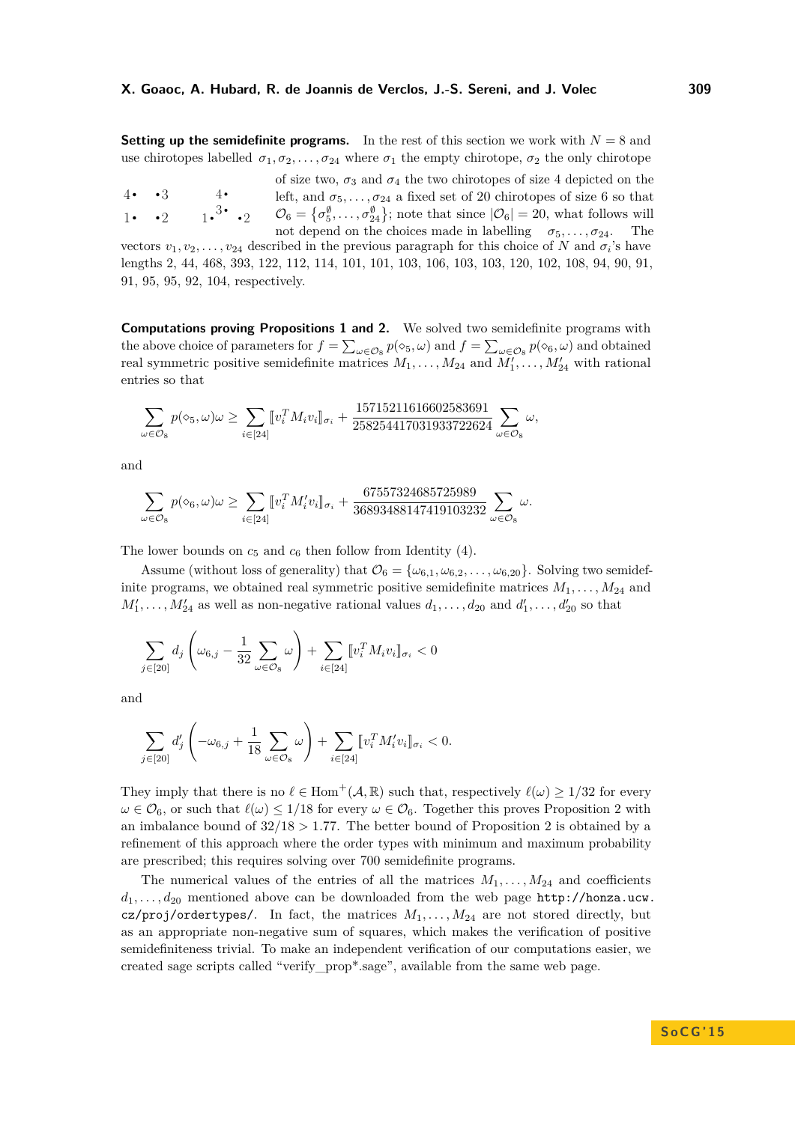**Setting up the semidefinite programs.** In the rest of this section we work with  $N = 8$  and use chirotopes labelled  $\sigma_1, \sigma_2, \ldots, \sigma_{24}$  where  $\sigma_1$  the empty chirotope,  $\sigma_2$  the only chirotope

 $\cdot$  2  $4 \cdot \cdot \cdot 3$ 1.  $\cdot 2 \cdot 1 \cdot 3 \cdot 2$ 4 of size two,  $\sigma_3$  and  $\sigma_4$  the two chirotopes of size 4 depicted on the left, and  $\sigma_5, \ldots, \sigma_{24}$  a fixed set of 20 chirotopes of size 6 so that  $\mathcal{O}_6 = \{\sigma_5^{\emptyset}, \ldots, \sigma_{24}^{\emptyset}\}\;$ ; note that since  $|\mathcal{O}_6| = 20$ , what follows will not depend on the choices made in labelling  $\sigma_5, \ldots, \sigma_{24}$ . The

vectors  $v_1, v_2, \ldots, v_{24}$  described in the previous paragraph for this choice of *N* and  $\sigma_i$ 's have lengths 2, 44, 468, 393, 122, 112, 114, 101, 101, 103, 106, 103, 103, 120, 102, 108, 94, 90, 91, 91, 95, 95, 92, 104, respectively.

**Computations proving Propositions [1](#page-2-0) and [2.](#page-2-1)** We solved two semidefinite programs with the above choice of parameters for  $f = \sum_{\omega \in \mathcal{O}_8} p(\diamond_5, \omega)$  and  $f = \sum_{\omega \in \mathcal{O}_8} p(\diamond_6, \omega)$  and obtained real symmetric positive semidefinite matrices  $M_1, \ldots, M_{24}$  and  $M'_1, \ldots, M'_{24}$  with rational entries so that

$$
\sum_{\omega \in \mathcal{O}_8} p(\diamond_5, \omega) \omega \ge \sum_{i \in [24]} [v_i^T M_i v_i]_{\sigma_i} + \frac{15715211616602583691}{258254417031933722624} \sum_{\omega \in \mathcal{O}_8} \omega,
$$

and

$$
\sum_{\omega \in \mathcal{O}_8} p(\diamond_6, \omega) \omega \ge \sum_{i \in [24]} [v_i^T M_i' v_i]_{\sigma_i} + \frac{67557324685725989}{36893488147419103232} \sum_{\omega \in \mathcal{O}_8} \omega.
$$

The lower bounds on  $c_5$  and  $c_6$  then follow from Identity [\(4\)](#page-5-1).

Assume (without loss of generality) that  $\mathcal{O}_6 = {\omega_{6,1}, \omega_{6,2}, \ldots, \omega_{6,20}}$ . Solving two semidefinite programs, we obtained real symmetric positive semidefinite matrices  $M_1, \ldots, M_{24}$  and  $M'_1, \ldots, M'_{24}$  as well as non-negative rational values  $d_1, \ldots, d_{20}$  and  $d'_1, \ldots, d'_{20}$  so that

$$
\sum_{j\in[20]}d_j\left(\omega_{6,j}-\frac{1}{32}\sum_{\omega\in\mathcal{O}_8}\omega\right)+\sum_{i\in[24]}[v_i^TM_iv_i]_{\sigma_i}<0
$$

and

$$
\sum_{j \in [20]} d'_j \left( -\omega_{6,j} + \frac{1}{18} \sum_{\omega \in \mathcal{O}_8} \omega \right) + \sum_{i \in [24]} [v_i^T M'_i v_i]_{\sigma_i} < 0.
$$

They imply that there is no  $\ell \in$  Hom<sup>+</sup>( $\mathcal{A}, \mathbb{R}$ ) such that, respectively  $\ell(\omega) \geq 1/32$  for every  $\omega \in \mathcal{O}_6$ , or such that  $\ell(\omega) \leq 1/18$  for every  $\omega \in \mathcal{O}_6$ . Together this proves Proposition [2](#page-2-1) with an imbalance bound of  $32/18 > 1.77$ . The better bound of Proposition [2](#page-2-1) is obtained by a refinement of this approach where the order types with minimum and maximum probability are prescribed; this requires solving over 700 semidefinite programs.

The numerical values of the entries of all the matrices  $M_1, \ldots, M_{24}$  and coefficients *d*1*, . . . , d*<sup>20</sup> mentioned above can be downloaded from the web page [http://honza.ucw.](http://honza.ucw.cz/proj/ordertypes/)  $cz/proj/ordertypes/$ . In fact, the matrices  $M_1, \ldots, M_{24}$  are not stored directly, but as an appropriate non-negative sum of squares, which makes the verification of positive semidefiniteness trivial. To make an independent verification of our computations easier, we created sage scripts called "verify\_prop\*.sage", available from the same web page.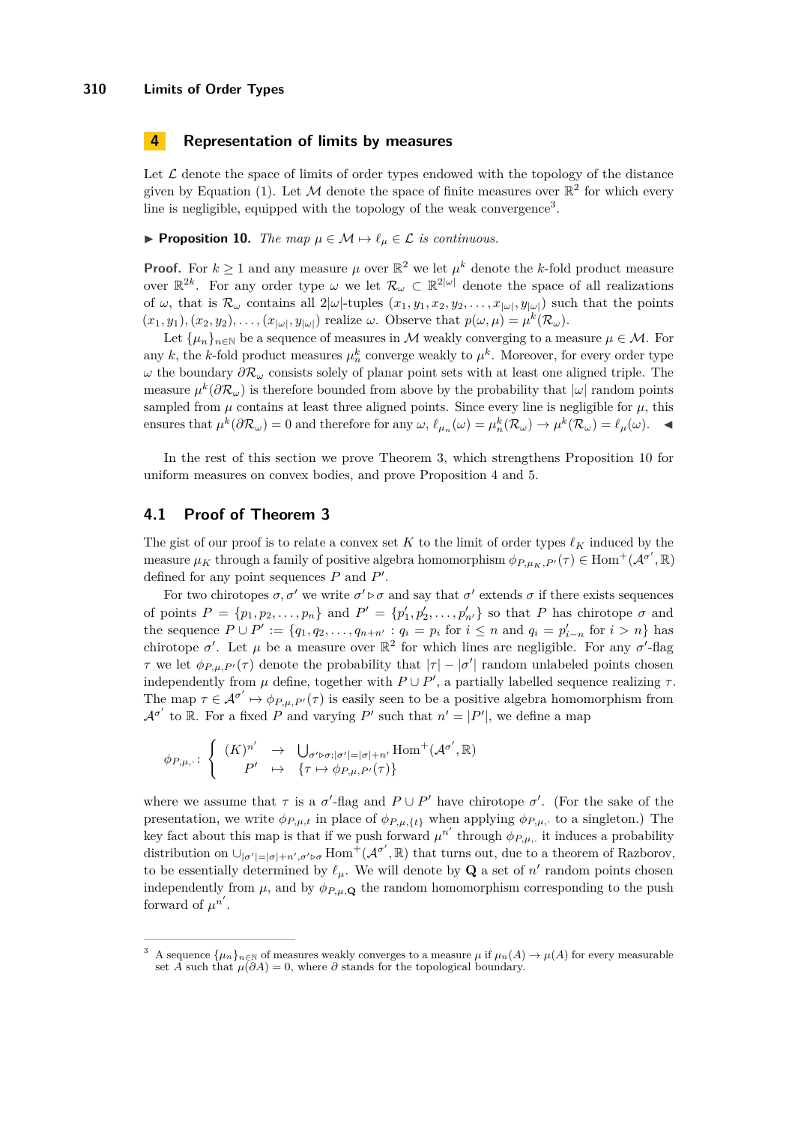# **4 Representation of limits by measures**

Let  $\mathcal L$  denote the space of limits of order types endowed with the topology of the distance given by Equation [\(1\)](#page-3-2). Let M denote the space of finite measures over  $\mathbb{R}^2$  for which every line is negligible, equipped with the topology of the weak convergence<sup>[3](#page-10-1)</sup>.

<span id="page-10-0"></span>**Proposition 10.** *The map*  $\mu \in \mathcal{M} \mapsto \ell_{\mu} \in \mathcal{L}$  *is continuous.* 

**Proof.** For  $k \geq 1$  and any measure  $\mu$  over  $\mathbb{R}^2$  we let  $\mu^k$  denote the *k*-fold product measure over  $\mathbb{R}^{2k}$ . For any order type  $\omega$  we let  $\mathcal{R}_{\omega} \subset \mathbb{R}^{2|\omega|}$  denote the space of all realizations of  $\omega$ , that is  $\mathcal{R}_{\omega}$  contains all  $2|\omega|$ -tuples  $(x_1, y_1, x_2, y_2, \ldots, x_{|\omega|}, y_{|\omega|})$  such that the points  $(x_1, y_1), (x_2, y_2), \ldots, (x_{|\omega|}, y_{|\omega|})$  realize  $\omega$ . Observe that  $p(\omega, \mu) = \mu^k(\mathcal{R}_{\omega})$ .

Let  $\{\mu_n\}_{n\in\mathbb{N}}$  be a sequence of measures in M weakly converging to a measure  $\mu \in \mathcal{M}$ . For any *k*, the *k*-fold product measures  $\mu_n^k$  converge weakly to  $\mu^k$ . Moreover, for every order type *ω* the boundary *∂*R*<sup>ω</sup>* consists solely of planar point sets with at least one aligned triple. The measure  $\mu^k(\partial \mathcal{R}_\omega)$  is therefore bounded from above by the probability that  $|\omega|$  random points sampled from  $\mu$  contains at least three aligned points. Since every line is negligible for  $\mu$ , this ensures that  $\mu^k(\partial \mathcal{R}_\omega) = 0$  and therefore for any  $\omega, \ell_{\mu_n}(\omega) = \mu_n^k(\mathcal{R}_\omega) \to \mu^k(\mathcal{R}_\omega) = \ell_\mu(\omega)$ .

In the rest of this section we prove Theorem [3,](#page-3-1) which strengthens Proposition [10](#page-10-0) for uniform measures on convex bodies, and prove Proposition [4](#page-3-3) and [5.](#page-4-3)

## **4.1 Proof of Theorem [3](#page-3-1)**

The gist of our proof is to relate a convex set *K* to the limit of order types  $\ell_K$  induced by the  $\alpha$  measure  $\mu_K$  through a family of positive algebra homomorphism  $\phi_{P,\mu_K,P'}(\tau) \in \text{Hom}^+(\mathcal{A}^{\sigma'}, \mathbb{R})$ defined for any point sequences  $P$  and  $P'$ .

For two chirotopes  $\sigma$ ,  $\sigma'$  we write  $\sigma' \triangleright \sigma$  and say that  $\sigma'$  extends  $\sigma$  if there exists sequences of points  $P = \{p_1, p_2, \ldots, p_n\}$  and  $P' = \{p'_1, p'_2, \ldots, p'_{n'}\}$  so that *P* has chirotope  $\sigma$  and the sequence  $P \cup P' := \{q_1, q_2, \dots, q_{n+n'} : q_i = p_i \text{ for } i \leq n \text{ and } q_i = p'_{i-n} \text{ for } i > n\}$  has chirotope  $\sigma'$ . Let  $\mu$  be a measure over  $\mathbb{R}^2$  for which lines are negligible. For any  $\sigma'$ -flag *τ* we let  $\phi_{P,\mu,P'}(\tau)$  denote the probability that  $|\tau| - |\sigma'|$  random unlabeled points chosen independently from  $\mu$  define, together with  $P \cup P'$ , a partially labelled sequence realizing  $\tau$ . The map  $\tau \in \mathcal{A}^{\sigma'} \mapsto \phi_{P,\mu,P'}(\tau)$  is easily seen to be a positive algebra homomorphism from  $\mathcal{A}^{\sigma'}$  to R. For a fixed *P* and varying *P'* such that  $n' = |P'|$ , we define a map

$$
\phi_{P,\mu,\cdot}\colon\left\{\begin{array}{rcl} (K)^{n'}&\to&\bigcup_{\sigma'\rhd\sigma;|\sigma'|=|\sigma|+n'}\mathrm{Hom}^{+}(\mathcal{A}^{\sigma'},\mathbb{R})\\ P'&\mapsto&\{\tau\mapsto\phi_{P,\mu,P'}(\tau)\}\end{array}\right.
$$

where we assume that  $\tau$  is a  $\sigma'$ -flag and  $P \cup P'$  have chirotope  $\sigma'$ . (For the sake of the presentation, we write  $\phi_{P,\mu,t}$  in place of  $\phi_{P,\mu,t}$  when applying  $\phi_{P,\mu,t}$  to a singleton.) The key fact about this map is that if we push forward  $\mu^{n'}$  through  $\phi_{P,\mu}$ , it induces a probability distribution on  $\cup_{|\sigma'|=|\sigma|+n',\sigma'\triangleright \sigma}$  Hom<sup>+</sup>( $\mathcal{A}^{\sigma'}$ , R) that turns out, due to a theorem of Razborov, to be essentially determined by  $\ell_{\mu}$ . We will denote by **Q** a set of  $n'$  random points chosen independently from  $\mu$ , and by  $\phi_{P,\mu,\mathbf{Q}}$  the random homomorphism corresponding to the push forward of  $\mu^{n'}$ .

<span id="page-10-1"></span>A sequence  $\{\mu_n\}_{n\in\mathbb{N}}$  of measures weakly converges to a measure  $\mu$  if  $\mu_n(A) \to \mu(A)$  for every measurable set *A* such that  $\mu(\partial A) = 0$ , where  $\partial$  stands for the topological boundary.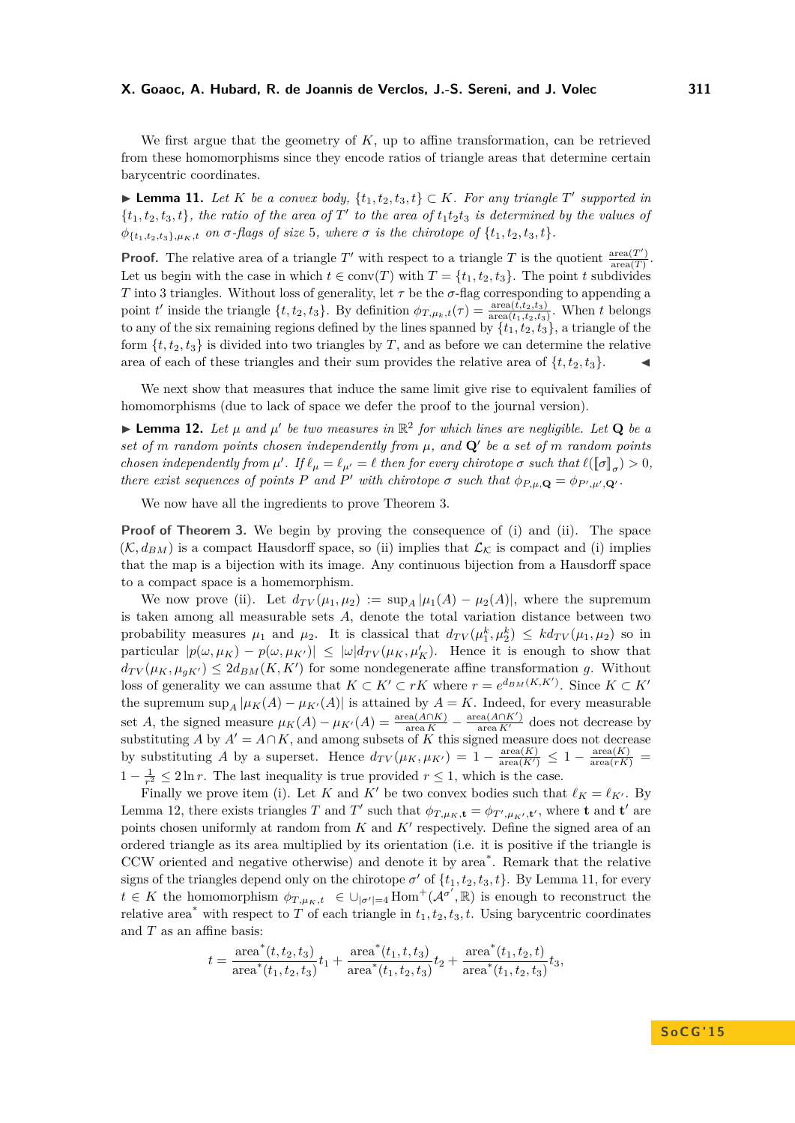We first argue that the geometry of *K*, up to affine transformation, can be retrieved from these homomorphisms since they encode ratios of triangle areas that determine certain barycentric coordinates.

<span id="page-11-1"></span>▶ **Lemma 11.** *Let K be a convex body,*  $\{t_1, t_2, t_3, t\} \subset K$ *. For any triangle T*' supported in  $\{t_1, t_2, t_3, t\}$ , the ratio of the area of  $T'$  to the area of  $t_1t_2t_3$  is determined by the values of  $\phi_{\{t_1, t_2, t_3\}, \mu_K, t}$  *on*  $\sigma$ *-flags of size* 5*, where*  $\sigma$  *is the chirotope of*  $\{t_1, t_2, t_3, t\}$ *.* 

**Proof.** The relative area of a triangle T' with respect to a triangle T is the quotient  $\frac{\text{area}(T')}{\text{area}(T)}$ area(*T*) . Let us begin with the case in which  $t \in \text{conv}(T)$  with  $T = \{t_1, t_2, t_3\}$ . The point *t* subdivides *T* into 3 triangles. Without loss of generality, let  $\tau$  be the  $\sigma$ -flag corresponding to appending a point *t*' inside the triangle  $\{t, t_2, t_3\}$ . By definition  $\phi_{T,\mu_k,t}(\tau) = \frac{\text{area}(t, t_2, t_3)}{\text{area}(t_1, t_2, t_3)}$ . When *t* belongs to any of the six remaining regions defined by the lines spanned by  $\{t_1, t_2, t_3\}$ , a triangle of the form  $\{t, t_2, t_3\}$  is divided into two triangles by T, and as before we can determine the relative area of each of these triangles and their sum provides the relative area of  $\{t, t_2, t_3\}$ .

We next show that measures that induce the same limit give rise to equivalent families of homomorphisms (due to lack of space we defer the proof to the journal version).

<span id="page-11-0"></span> $\blacktriangleright$  **Lemma 12.** Let  $\mu$  and  $\mu'$  be two measures in  $\mathbb{R}^2$  for which lines are negligible. Let **Q** be a *set of m random points chosen independently from*  $\mu$ , and  $\mathbf{Q}'$  be a set of *m random points chosen independently from*  $\mu'$ . If  $\ell_{\mu} = \ell_{\mu'} = \ell$  then for every chirotope  $\sigma$  such that  $\ell([\sigma]_{\sigma}) > 0$ , *there exist sequences of points P and P*<sup>*'*</sup> *with chirotope*  $\sigma$  *such that*  $\phi_{P,\mu,\mathbf{Q}} = \phi_{P',\mu',\mathbf{Q'}}$ .

We now have all the ingredients to prove Theorem [3.](#page-3-1)

**Proof of Theorem [3.](#page-3-1)** We begin by proving the consequence of (i) and (ii). The space  $(\mathcal{K}, d_{BM})$  is a compact Hausdorff space, so (ii) implies that  $\mathcal{L}_{\mathcal{K}}$  is compact and (i) implies that the map is a bijection with its image. Any continuous bijection from a Hausdorff space to a compact space is a homemorphism.

We now prove (ii). Let  $d_{TV}(\mu_1, \mu_2) := \sup_A |\mu_1(A) - \mu_2(A)|$ , where the supremum is taken among all measurable sets *A*, denote the total variation distance between two probability measures  $\mu_1$  and  $\mu_2$ . It is classical that  $d_{TV}(\mu_1^k, \mu_2^k) \leq k d_{TV}(\mu_1, \mu_2)$  so in  $|p(\omega, \mu_K) - p(\omega, \mu_{K'})| \leq |\omega| d_{TV}(\mu_K, \mu'_K)$ . Hence it is enough to show that  $d_{TV}(\mu_K, \mu_{gK}) \leq 2d_{BM}(K, K')$  for some nondegenerate affine transformation *g*. Without loss of generality we can assume that  $K \subset K' \subset rK$  where  $r = e^{d_{BM}(K,K')}$ . Since  $K \subset K'$ the supremum sup<sub>*A*</sub>  $|\mu_K(A) - \mu_{K'}(A)|$  is attained by  $A = K$ . Indeed, for every measurable set *A*, the signed measure  $\mu_K(A) - \mu_{K'}(A) = \frac{\text{area}(A \cap K)}{\text{area } K} - \frac{\text{area}(A \cap K')}{\text{area } K'}$  does not decrease by substituting *A* by  $A' = A \cap K$ , and among subsets of *K* this signed measure does not decrease by substituting *A* by a superset. Hence  $d_{TV}(\mu_K, \mu_{K'}) = 1 - \frac{\text{area}(K)}{\text{area}(K')} \leq 1 - \frac{\text{area}(K)}{\text{area}(rK')}$ 1 −  $\frac{1}{r^2}$  ≤ 2ln *r*. The last inequality is true provided  $r \le 1$ , which is the case.

Finally we prove item (i). Let *K* and *K'* be two convex bodies such that  $\ell_K = \ell_{K'}$ . By Lemma [12,](#page-11-0) there exists triangles *T* and *T*<sup>'</sup> such that  $\phi_{T,\mu_K,\mathbf{t}} = \phi_{T',\mu_{K'},\mathbf{t}'},$  where **t** and **t**<sup>'</sup> are points chosen uniformly at random from  $K$  and  $K'$  respectively. Define the signed area of an ordered triangle as its area multiplied by its orientation (i.e. it is positive if the triangle is CCW oriented and negative otherwise) and denote it by area\* . Remark that the relative signs of the triangles depend only on the chirotope  $\sigma'$  of  $\{t_1, t_2, t_3, t\}$ . By Lemma [11,](#page-11-1) for every  $t \in K$  the homomorphism  $\phi_{T,\mu_K,t} \in \bigcup_{|\sigma'|=4}$  Hom<sup>+</sup>( $\mathcal{A}^{\sigma'}$ , R) is enough to reconstruct the relative area<sup>\*</sup> with respect to *T* of each triangle in  $t_1, t_2, t_3, t$ . Using barycentric coordinates and *T* as an affine basis:

$$
t = \frac{\text{area}^*(t, t_2, t_3)}{\text{area}^*(t_1, t_2, t_3)} t_1 + \frac{\text{area}^*(t_1, t, t_3)}{\text{area}^*(t_1, t_2, t_3)} t_2 + \frac{\text{area}^*(t_1, t_2, t)}{\text{area}^*(t_1, t_2, t_3)} t_3,
$$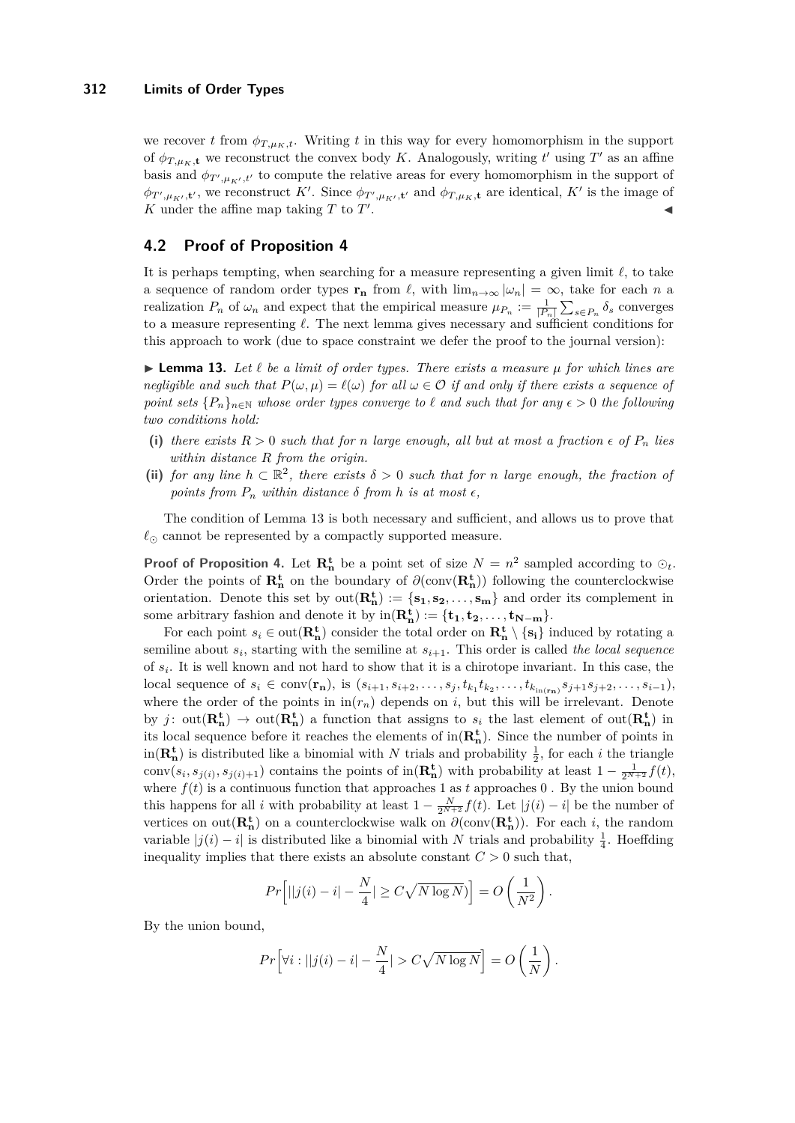we recover *t* from  $\phi_{T,\mu_K,t}$ . Writing *t* in this way for every homomorphism in the support of  $\phi_{T,\mu_K,\mathbf{t}}$  we reconstruct the convex body *K*. Analogously, writing  $t'$  using  $T'$  as an affine basis and  $\phi_{T',\mu_{K'},t'}$  to compute the relative areas for every homomorphism in the support of  $\phi_{T',\mu_{K'},\mathbf{t}'},$  we reconstruct K'. Since  $\phi_{T',\mu_{K'},\mathbf{t}'}$  and  $\phi_{T,\mu_{K},\mathbf{t}}$  are identical, K' is the image of  $K$  under the affine map taking  $T$  to  $T'$ . J

# **4.2 Proof of Proposition [4](#page-3-3)**

It is perhaps tempting, when searching for a measure representing a given limit  $\ell$ , to take a sequence of random order types  $\mathbf{r}_n$  from  $\ell$ , with  $\lim_{n\to\infty} |\omega_n| = \infty$ , take for each *n* a realization  $P_n$  of  $\omega_n$  and expect that the empirical measure  $\mu_{P_n} := \frac{1}{|P_n|} \sum_{s \in P_n} \delta_s$  converges to a measure representing  $\ell$ . The next lemma gives necessary and sufficient conditions for this approach to work (due to space constraint we defer the proof to the journal version):

<span id="page-12-0"></span> $\blacktriangleright$  **Lemma 13.** Let  $\ell$  be a limit of order types. There exists a measure  $\mu$  for which lines are *negligible and such that*  $P(\omega, \mu) = \ell(\omega)$  *for all*  $\omega \in \mathcal{O}$  *if and only if there exists a sequence of point sets*  ${P_n}_{n \in \mathbb{N}}$  *whose order types converge to*  $\ell$  *and such that for any*  $\epsilon > 0$  *the following two conditions hold:*

- (i) there exists  $R > 0$  such that for *n* large enough, all but at most a fraction  $\epsilon$  of  $P_n$  lies *within distance R from the origin.*
- (ii) *for any line*  $h \subset \mathbb{R}^2$ , *there exists*  $\delta > 0$  *such that for n large enough, the fraction of points from*  $P_n$  *within distance*  $\delta$  *from*  $h$  *is at most*  $\epsilon$ *,*

The condition of Lemma [13](#page-12-0) is both necessary and sufficient, and allows us to prove that  $\ell_{\odot}$  cannot be represented by a compactly supported measure.

**Proof of Proposition [4.](#page-3-3)** Let  $\mathbf{R}_n^t$  be a point set of size  $N = n^2$  sampled according to  $\odot_t$ . Order the points of  $\mathbf{R}_{\mathbf{n}}^{\mathbf{t}}$  on the boundary of  $\partial(\text{conv}(\mathbf{R}_{\mathbf{n}}^{\mathbf{t}}))$  following the counterclockwise orientation. Denote this set by  $out(\mathbf{R}_{n}^{t}) := \{s_1, s_2, \ldots, s_m\}$  and order its complement in some arbitrary fashion and denote it by  $\text{in}(\mathbf{R}_{n}^{\mathbf{t}}) := {\mathbf{t}_{1}, \mathbf{t}_{2}, \ldots, \mathbf{t}_{N-m}}.$ 

For each point  $s_i \in \text{out}(\mathbf{R}_{\mathbf{n}}^{\mathbf{t}})$  consider the total order on  $\mathbf{R}_{\mathbf{n}}^{\mathbf{t}} \setminus \{\mathbf{s_i}\}\)$  induced by rotating a semiline about *s<sup>i</sup>* , starting with the semiline at *si*+1. This order is called *the local sequence* of *s<sup>i</sup>* . It is well known and not hard to show that it is a chirotope invariant. In this case, the local sequence of  $s_i \in \text{conv}(\mathbf{r}_n)$ , is  $(s_{i+1}, s_{i+2}, \ldots, s_j, t_{k_1} t_{k_2}, \ldots, t_{k_{\text{in}}(\mathbf{r}_n)} s_{j+1} s_{j+2}, \ldots, s_{i-1}),$ where the order of the points in  $\text{in}(r_n)$  depends on *i*, but this will be irrelevant. Denote by *j* : out( $\mathbf{R}_{n}^{\mathbf{t}}$ )  $\rightarrow$  out( $\mathbf{R}_{n}^{\mathbf{t}}$ ) a function that assigns to  $s_i$  the last element of out( $\mathbf{R}_{n}^{\mathbf{t}}$ ) in its local sequence before it reaches the elements of  $in(\mathbf{R}_{\mathbf{n}}^{\mathbf{t}})$ . Since the number of points in  $\text{in}(\mathbf{R}_{\mathbf{n}}^{\mathbf{t}})$  is distributed like a binomial with *N* trials and probability  $\frac{1}{2}$ , for each *i* the triangle conv $(s_i, s_{j(i)}, s_{j(i)+1})$  contains the points of in $(\mathbf{R}_n^t)$  with probability at least  $1 - \frac{1}{2^{N+2}}f(t)$ , where  $f(t)$  is a continuous function that approaches 1 as  $t$  approaches 0. By the union bound this happens for all *i* with probability at least  $1 - \frac{N}{2^{N+2}} f(t)$ . Let  $|j(i) - i|$  be the number of vertices on out( $\mathbf{R}_{n}^{\mathbf{t}}$ ) on a counterclockwise walk on  $\partial(\text{conv}(\mathbf{R}_{n}^{\mathbf{t}}))$ . For each *i*, the random variable  $|j(i) - i|$  is distributed like a binomial with *N* trials and probability  $\frac{1}{4}$ . Hoeffding inequality implies that there exists an absolute constant  $C > 0$  such that,

$$
Pr\left[||j(i) - i| - \frac{N}{4}| \ge C\sqrt{N\log N}\right] = O\left(\frac{1}{N^2}\right).
$$

By the union bound,

$$
Pr\left[\forall i : ||j(i) - i| - \frac{N}{4}| > C\sqrt{N\log N}\right] = O\left(\frac{1}{N}\right).
$$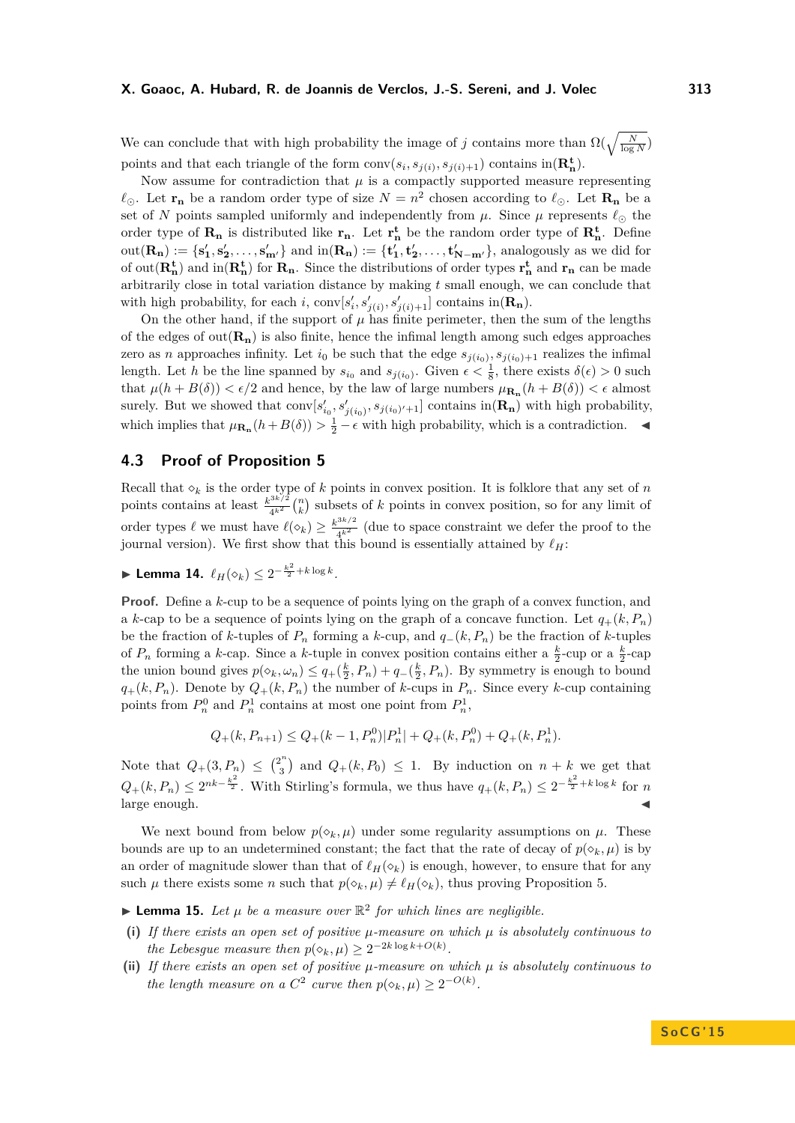We can conclude that with high probability the image of *j* contains more than  $\Omega(\sqrt{\frac{N}{\log N}})$ points and that each triangle of the form  $\text{conv}(s_i, s_{j(i)}, s_{j(i)+1})$  contains  $\text{in}(\mathbf{R}_{\text{n}}^{\text{t}})$ .

Now assume for contradiction that  $\mu$  is a compactly supported measure representing  $\ell_{\odot}$ . Let **r**<sub>n</sub> be a random order type of size  $N = n^2$  chosen according to  $\ell_{\odot}$ . Let **R**<sub>n</sub> be a set of *N* points sampled uniformly and independently from  $\mu$ . Since  $\mu$  represents  $\ell_{\odot}$  the order type of  $\mathbf{R}_n$  is distributed like  $\mathbf{r}_n$ . Let  $\mathbf{r}_n^{\mathbf{t}}$  be the random order type of  $\mathbf{R}_n^{\mathbf{t}}$ . Define  $\text{out}(\mathbf{R}_{n}) := \{s'_{1}, s'_{2}, \ldots, s'_{m'}\}\$ and  $\text{in}(\mathbf{R}_{n}) := \{t'_{1}, t'_{2}, \ldots, t'_{N-m'}\}\$ , analogously as we did for of  $out(\mathbf{R}_{\mathbf{n}}^{\mathbf{t}})$  and  $in(\mathbf{R}_{\mathbf{n}}^{\mathbf{t}})$  for  $\mathbf{R}_{\mathbf{n}}$ . Since the distributions of order types  $\mathbf{r}_{\mathbf{n}}^{\mathbf{t}}$  and  $\mathbf{r}_{\mathbf{n}}$  can be made arbitrarily close in total variation distance by making *t* small enough, we can conclude that with high probability, for each *i*,  $\text{conv}[s'_i, s'_{j(i)}, s'_{j(i)+1}]$  contains in $(\mathbf{R}_{\mathbf{n}})$ .

On the other hand, if the support of  $\mu$  has finite perimeter, then the sum of the lengths of the edges of  $out(\mathbf{R}_{n})$  is also finite, hence the infimal length among such edges approaches zero as *n* approaches infinity. Let  $i_0$  be such that the edge  $s_{j(i_0)}, s_{j(i_0)+1}$  realizes the infimal length. Let *h* be the line spanned by  $s_{i_0}$  and  $s_{j(i_0)}$ . Given  $\epsilon < \frac{1}{8}$ , there exists  $\delta(\epsilon) > 0$  such that  $\mu(h + B(\delta)) < \epsilon/2$  and hence, by the law of large numbers  $\mu_{\mathbf{R}_{\mathbf{n}}}(h + B(\delta)) < \epsilon$  almost surely. But we showed that  $\text{conv}[s'_{i_0}, s'_{j(i_0)}, s_{j(i_0)'+1}]$  contains  $\text{in}(\mathbf{R}_{\mathbf{n}})$  with high probability, which implies that  $\mu_{\mathbf{R}_{\mathbf{n}}}(h+B(\delta)) > \frac{1}{2} - \epsilon$  with high probability, which is a contradiction.  $\blacktriangleleft$ 

# **4.3 Proof of Proposition [5](#page-4-3)**

Recall that  $\delta_k$  is the order type of *k* points in convex position. It is folklore that any set of *n* points contains at least  $\frac{k^{3k/2}}{4k^2}$  $\frac{a^{3k/2}}{4^{k^2}}$  (*n*) subsets of *k* points in convex position, so for any limit of order types  $\ell$  we must have  $\ell(\diamond_k) \geq \frac{k^{3k/2}}{4k^2}$  $\frac{4k^2}{4k^2}$  (due to space constraint we defer the proof to the journal version). We first show that this bound is essentially attained by  $\ell_H$ :

▶ Lemma 14.  $\ell_H(\diamond_k) \leq 2^{-\frac{k^2}{2} + k \log k}$ .

**Proof.** Define a *k*-cup to be a sequence of points lying on the graph of a convex function, and a *k*-cap to be a sequence of points lying on the graph of a concave function. Let  $q_{+}(k, P_{n})$ be the fraction of *k*-tuples of  $P_n$  forming a *k*-cup, and  $q_-(k, P_n)$  be the fraction of *k*-tuples of  $P_n$  forming a *k*-cap. Since a *k*-tuple in convex position contains either a  $\frac{k}{2}$ -cup or a  $\frac{k}{2}$ -cap the union bound gives  $p(\diamond_k, \omega_n) \le q_+(\frac{k}{2}, P_n) + q_-(\frac{k}{2}, P_n)$ . By symmetry is enough to bound  $q_{+}(k, P_n)$ . Denote by  $Q_{+}(k, P_n)$  the number of *k*-cups in  $P_n$ . Since every *k*-cup containing points from  $P_n^0$  and  $P_n^1$  contains at most one point from  $P_n^1$ ,

$$
Q_{+}(k, P_{n+1}) \leq Q_{+}(k-1, P_{n}^{0})|P_{n}^{1}| + Q_{+}(k, P_{n}^{0}) + Q_{+}(k, P_{n}^{1}).
$$

Note that  $Q_{+}(3, P_{n}) \leq {2^{n} \choose 3}$  $\binom{2^n}{3}$  and  $Q_+(k, P_0) \leq 1$ . By induction on  $n + k$  we get that  $Q_+(k, P_n) \leq 2^{nk-\frac{k^2}{2}}$ . With Stirling's formula, we thus have  $q_+(k, P_n) \leq 2^{-\frac{k^2}{2}+k\log k}$  for *n* large enough.

We next bound from below  $p(\delta_k, \mu)$  under some regularity assumptions on  $\mu$ . These bounds are up to an undetermined constant; the fact that the rate of decay of  $p(\diamond_k, \mu)$  is by an order of magnitude slower than that of  $\ell_H(\diamond_k)$  is enough, however, to ensure that for any such  $\mu$  there exists some *n* such that  $p(\diamond_k, \mu) \neq \ell_H(\diamond_k)$ , thus proving Proposition [5.](#page-4-3)

**Lemma 15.** Let  $\mu$  be a measure over  $\mathbb{R}^2$  for which lines are negligible.

- **(i)** If there exists an open set of positive  $\mu$ -measure on which  $\mu$  is absolutely continuous to *the Lebesgue measure then*  $p(\diamond_k, \mu) \geq 2^{-2k \log k + O(k)}$ .
- **(ii)** *If there exists an open set of positive µ-measure on which µ is absolutely continuous to the length measure on a*  $C^2$  *curve then*  $p(\diamond_k, \mu) \geq 2^{-O(k)}$ *.*